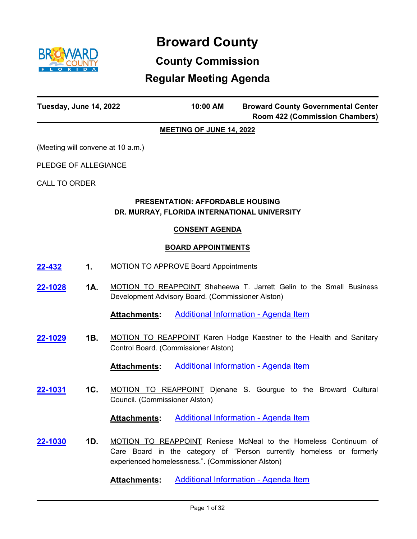

# **Broward County**

# **County Commission**

# **Regular Meeting Agenda**

| Tuesday, June 14, 2022                   | 10:00 AM | <b>Broward County Governmental Center</b><br><b>Room 422 (Commission Chambers)</b> |
|------------------------------------------|----------|------------------------------------------------------------------------------------|
| <b>MEETING OF JUNE 14, 2022</b>          |          |                                                                                    |
| <u>(Meeting will convene at 10 a.m.)</u> |          |                                                                                    |

PLEDGE OF ALLEGIANCE

CALL TO ORDER

# **PRESENTATION: AFFORDABLE HOUSING DR. MURRAY, FLORIDA INTERNATIONAL UNIVERSITY**

#### **CONSENT AGENDA**

#### **BOARD APPOINTMENTS**

- **[22-432](http://broward.legistar.com/gateway.aspx?m=l&id=/matter.aspx?key=9935) 1.** MOTION TO APPROVE Board Appointments
- **1A.** MOTION TO REAPPOINT Shaheewa T. Jarrett Gelin to the Small Business Development Advisory Board. (Commissioner Alston) **[22-1028](http://broward.legistar.com/gateway.aspx?m=l&id=/matter.aspx?key=10532)**

Attachments: [Additional Information - Agenda Item](http://broward.legistar.com/gateway.aspx?M=F&ID=273f5819-c08f-4b46-9373-b7fd22fb4a36.pdf)

**1B.** MOTION TO REAPPOINT Karen Hodge Kaestner to the Health and Sanitary Control Board. (Commissioner Alston) **[22-1029](http://broward.legistar.com/gateway.aspx?m=l&id=/matter.aspx?key=10533)**

**Attachments:** [Additional Information - Agenda Item](http://broward.legistar.com/gateway.aspx?M=F&ID=44523f13-80b4-46fd-83c9-46c4520c34cd.pdf)

**1C.** MOTION TO REAPPOINT Djenane S. Gourgue to the Broward Cultural Council. (Commissioner Alston) **[22-1031](http://broward.legistar.com/gateway.aspx?m=l&id=/matter.aspx?key=10535)**

**Attachments:** [Additional Information - Agenda Item](http://broward.legistar.com/gateway.aspx?M=F&ID=c73471a9-0071-47c3-a898-47b6ecd208d8.pdf)

**1D.** MOTION TO REAPPOINT Reniese McNeal to the Homeless Continuum of Care Board in the category of "Person currently homeless or formerly experienced homelessness.". (Commissioner Alston) **[22-1030](http://broward.legistar.com/gateway.aspx?m=l&id=/matter.aspx?key=10534)**

Attachments: [Additional Information - Agenda Item](http://broward.legistar.com/gateway.aspx?M=F&ID=91bb17b5-2c8a-4384-b94e-8ff8363e0fda.pdf)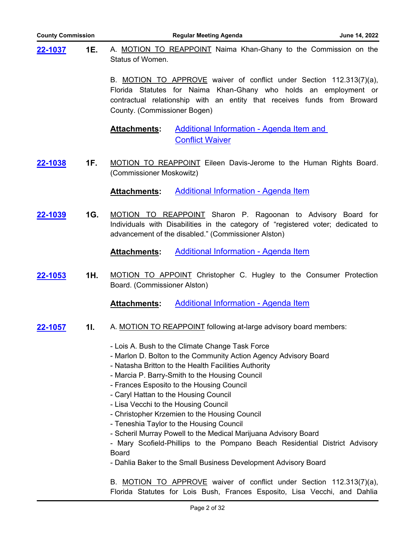| <b>County Commission</b> |     |                              | <b>Regular Meeting Agenda</b>                                                                                                                                                                                                                                                                                                                                                                                                                                                                                                                                                                                                                                                 | June 14, 2022 |
|--------------------------|-----|------------------------------|-------------------------------------------------------------------------------------------------------------------------------------------------------------------------------------------------------------------------------------------------------------------------------------------------------------------------------------------------------------------------------------------------------------------------------------------------------------------------------------------------------------------------------------------------------------------------------------------------------------------------------------------------------------------------------|---------------|
| <u>22-1037</u>           | 1E. | Status of Women.             | A. MOTION TO REAPPOINT Naima Khan-Ghany to the Commission on the                                                                                                                                                                                                                                                                                                                                                                                                                                                                                                                                                                                                              |               |
|                          |     | County. (Commissioner Bogen) | B. MOTION TO APPROVE waiver of conflict under Section 112.313(7)(a),<br>Florida Statutes for Naima Khan-Ghany who holds an employment or<br>contractual relationship with an entity that receives funds from Broward                                                                                                                                                                                                                                                                                                                                                                                                                                                          |               |
|                          |     | <b>Attachments:</b>          | <b>Additional Information - Agenda Item and</b><br><b>Conflict Waiver</b>                                                                                                                                                                                                                                                                                                                                                                                                                                                                                                                                                                                                     |               |
| 22-1038                  | 1F. | (Commissioner Moskowitz)     | MOTION TO REAPPOINT Eileen Davis-Jerome to the Human Rights Board.                                                                                                                                                                                                                                                                                                                                                                                                                                                                                                                                                                                                            |               |
|                          |     | <b>Attachments:</b>          | Additional Information - Agenda Item                                                                                                                                                                                                                                                                                                                                                                                                                                                                                                                                                                                                                                          |               |
| 22-1039                  | 1G. |                              | MOTION TO REAPPOINT Sharon P. Ragoonan to Advisory Board for<br>Individuals with Disabilities in the category of "registered voter; dedicated to<br>advancement of the disabled." (Commissioner Alston)                                                                                                                                                                                                                                                                                                                                                                                                                                                                       |               |
|                          |     | <b>Attachments:</b>          | <b>Additional Information - Agenda Item</b>                                                                                                                                                                                                                                                                                                                                                                                                                                                                                                                                                                                                                                   |               |
| 22-1053                  | 1H. | Board. (Commissioner Alston) | MOTION TO APPOINT Christopher C. Hugley to the Consumer Protection                                                                                                                                                                                                                                                                                                                                                                                                                                                                                                                                                                                                            |               |
|                          |     | Attachments:                 | <b>Additional Information - Agenda Item</b>                                                                                                                                                                                                                                                                                                                                                                                                                                                                                                                                                                                                                                   |               |
| 22-1057                  | 11. |                              | A. MOTION TO REAPPOINT following at-large advisory board members:                                                                                                                                                                                                                                                                                                                                                                                                                                                                                                                                                                                                             |               |
|                          |     | <b>Board</b>                 | - Lois A. Bush to the Climate Change Task Force<br>- Marlon D. Bolton to the Community Action Agency Advisory Board<br>- Natasha Britton to the Health Facilities Authority<br>- Marcia P. Barry-Smith to the Housing Council<br>- Frances Esposito to the Housing Council<br>- Caryl Hattan to the Housing Council<br>- Lisa Vecchi to the Housing Council<br>- Christopher Krzemien to the Housing Council<br>- Teneshia Taylor to the Housing Council<br>- Scheril Murray Powell to the Medical Marijuana Advisory Board<br>- Mary Scofield-Phillips to the Pompano Beach Residential District Advisory<br>- Dahlia Baker to the Small Business Development Advisory Board |               |
|                          |     |                              | B. MOTION TO APPROVE waiver of conflict under Section 112.313(7)(a),<br>Florida Statutes for Lois Bush, Frances Esposito, Lisa Vecchi, and Dahlia                                                                                                                                                                                                                                                                                                                                                                                                                                                                                                                             |               |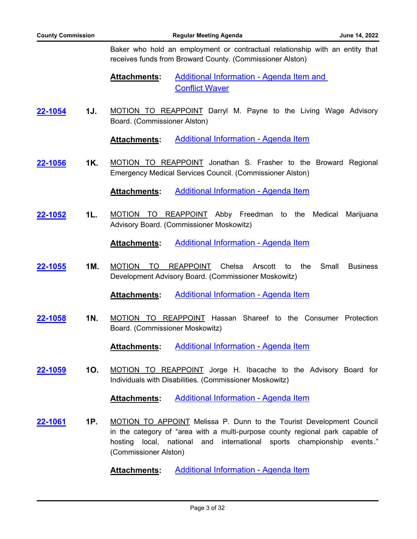Baker who hold an employment or contractual relationship with an entity that receives funds from Broward County. (Commissioner Alston)

- [Additional Information Agenda Item and](http://broward.legistar.com/gateway.aspx?M=F&ID=17c4d2e1-961a-45e2-911a-e89afa5bd00c.pdf)  Conflict Waver **Attachments:**
- **1J.** MOTION TO REAPPOINT Darryl M. Payne to the Living Wage Advisory Board. (Commissioner Alston) **[22-1054](http://broward.legistar.com/gateway.aspx?m=l&id=/matter.aspx?key=10558)**

**Attachments:** [Additional Information - Agenda Item](http://broward.legistar.com/gateway.aspx?M=F&ID=2e4f8f25-8f92-436f-b582-c45228ba2694.pdf)

**1K.** MOTION TO REAPPOINT Jonathan S. Frasher to the Broward Regional Emergency Medical Services Council. (Commissioner Alston) **[22-1056](http://broward.legistar.com/gateway.aspx?m=l&id=/matter.aspx?key=10560)**

**Attachments:** [Additional Information - Agenda Item](http://broward.legistar.com/gateway.aspx?M=F&ID=a443504e-84f4-4d60-a115-3a780ff77768.pdf)

**1L.** MOTION TO REAPPOINT Abby Freedman to the Medical Marijuana Advisory Board. (Commissioner Moskowitz) **[22-1052](http://broward.legistar.com/gateway.aspx?m=l&id=/matter.aspx?key=10556)**

**Attachments:** [Additional Information - Agenda Item](http://broward.legistar.com/gateway.aspx?M=F&ID=0d396c4f-e96d-41da-9e5c-d111b88f7db2.pdf)

**1M.** MOTION TO REAPPOINT Chelsa Arscott to the Small Business Development Advisory Board. (Commissioner Moskowitz) **[22-1055](http://broward.legistar.com/gateway.aspx?m=l&id=/matter.aspx?key=10559)**

**Attachments:** [Additional Information - Agenda Item](http://broward.legistar.com/gateway.aspx?M=F&ID=52daf66d-33e1-445b-a7bf-bb38f1f89b87.pdf)

**1N.** MOTION TO REAPPOINT Hassan Shareef to the Consumer Protection Board. (Commissioner Moskowitz) **[22-1058](http://broward.legistar.com/gateway.aspx?m=l&id=/matter.aspx?key=10562)**

**Attachments:** [Additional Information - Agenda Item](http://broward.legistar.com/gateway.aspx?M=F&ID=76c8e354-143f-49b3-907f-36be32a1f164.pdf)

**1O.** MOTION TO REAPPOINT Jorge H. Ibacache to the Advisory Board for Individuals with Disabilities. (Commissioner Moskowitz) **[22-1059](http://broward.legistar.com/gateway.aspx?m=l&id=/matter.aspx?key=10563)**

**Attachments:** [Additional Information - Agenda Item](http://broward.legistar.com/gateway.aspx?M=F&ID=f6595332-5786-42e1-a54c-19b3527d04b6.pdf)

**1P.** MOTION TO APPOINT Melissa P. Dunn to the Tourist Development Council in the category of "area with a multi-purpose county regional park capable of hosting local, national and international sports championship events." (Commissioner Alston) **[22-1061](http://broward.legistar.com/gateway.aspx?m=l&id=/matter.aspx?key=10565)**

**Attachments:** [Additional Information - Agenda Item](http://broward.legistar.com/gateway.aspx?M=F&ID=7d74b854-d204-4163-b393-fbfd248d0732.pdf)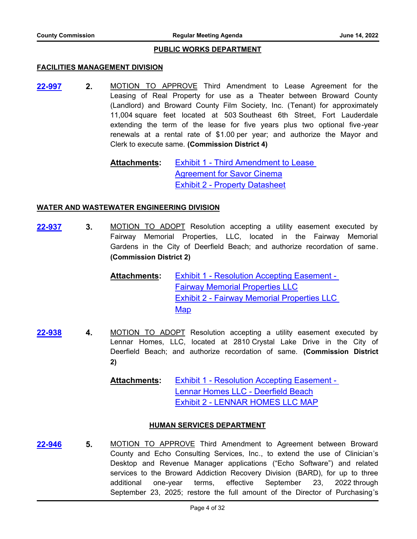#### **PUBLIC WORKS DEPARTMENT**

#### **FACILITIES MANAGEMENT DIVISION**

**2.** MOTION TO APPROVE Third Amendment to Lease Agreement for the Leasing of Real Property for use as a Theater between Broward County (Landlord) and Broward County Film Society, Inc. (Tenant) for approximately 11,004 square feet located at 503 Southeast 6th Street, Fort Lauderdale extending the term of the lease for five years plus two optional five-year renewals at a rental rate of \$1.00 per year; and authorize the Mayor and Clerk to execute same. **(Commission District 4) [22-997](http://broward.legistar.com/gateway.aspx?m=l&id=/matter.aspx?key=10501)**

> [Exhibit 1 - Third Amendment to Lease](http://broward.legistar.com/gateway.aspx?M=F&ID=7bab4d54-4106-40e8-b8d5-43ca0217f0cc.pdf)  Agreement for Savor Cinema [Exhibit 2 - Property Datasheet](http://broward.legistar.com/gateway.aspx?M=F&ID=4eff6569-e6ff-4e9f-b4e3-6f036657c540.pdf) **Attachments:**

#### **WATER AND WASTEWATER ENGINEERING DIVISION**

**3.** MOTION TO ADOPT Resolution accepting a utility easement executed by Fairway Memorial Properties, LLC, located in the Fairway Memorial Gardens in the City of Deerfield Beach; and authorize recordation of same. **(Commission District 2) [22-937](http://broward.legistar.com/gateway.aspx?m=l&id=/matter.aspx?key=10441)**

> [Exhibit 1 - Resolution Accepting Easement -](http://broward.legistar.com/gateway.aspx?M=F&ID=2792e3b7-b9ba-41e4-9154-40c4abd55290.pdf)  Fairway Memorial Properties LLC [Exhibit 2 - Fairway Memorial Properties LLC](http://broward.legistar.com/gateway.aspx?M=F&ID=1ed39a23-1582-4804-bb27-8846d887e628.pdf)  Map **Attachments:**

**4.** MOTION TO ADOPT Resolution accepting a utility easement executed by Lennar Homes, LLC, located at 2810 Crystal Lake Drive in the City of Deerfield Beach; and authorize recordation of same. **(Commission District 2) [22-938](http://broward.legistar.com/gateway.aspx?m=l&id=/matter.aspx?key=10442)**

> [Exhibit 1 - Resolution Accepting Easement -](http://broward.legistar.com/gateway.aspx?M=F&ID=9f3be5c9-3f8e-4ea2-b1de-4556d186c91d.pdf)  Lennar Homes LLC - Deerfield Beach [Exhibit 2 - LENNAR HOMES LLC MAP](http://broward.legistar.com/gateway.aspx?M=F&ID=f465eaba-97de-45c6-b216-4d1a9bffe7b6.pdf) **Attachments:**

#### **HUMAN SERVICES DEPARTMENT**

**5.** MOTION TO APPROVE Third Amendment to Agreement between Broward County and Echo Consulting Services, Inc., to extend the use of Clinician's Desktop and Revenue Manager applications ("Echo Software") and related services to the Broward Addiction Recovery Division (BARD), for up to three additional one-year terms, effective September 23, 2022 through September 23, 2025; restore the full amount of the Director of Purchasing's **[22-946](http://broward.legistar.com/gateway.aspx?m=l&id=/matter.aspx?key=10450)**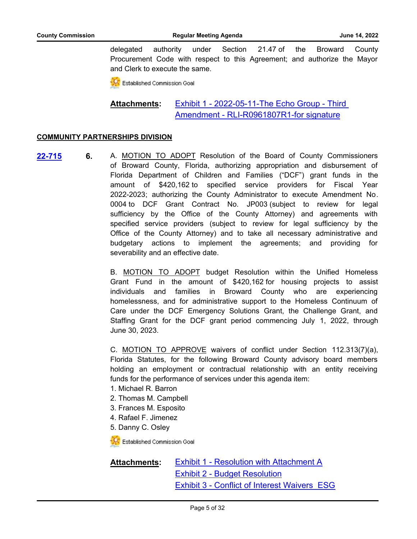delegated authority under Section 21.47 of the Broward County Procurement Code with respect to this Agreement; and authorize the Mayor and Clerk to execute the same.

**CC** Established Commission Goal

[Exhibit 1 - 2022-05-11-The Echo Group - Third](http://broward.legistar.com/gateway.aspx?M=F&ID=c34c821b-0513-4cd1-8b8a-83a53d702bea.pdf)  Amendment - RLI-R0961807R1-for signature **Attachments:**

#### **COMMUNITY PARTNERSHIPS DIVISION**

**6.** A. MOTION TO ADOPT Resolution of the Board of County Commissioners of Broward County, Florida, authorizing appropriation and disbursement of Florida Department of Children and Families ("DCF") grant funds in the amount of \$420,162 to specified service providers for Fiscal Year 2022-2023; authorizing the County Administrator to execute Amendment No. 0004 to DCF Grant Contract No. JP003 (subject to review for legal sufficiency by the Office of the County Attorney) and agreements with specified service providers (subject to review for legal sufficiency by the Office of the County Attorney) and to take all necessary administrative and budgetary actions to implement the agreements; and providing for severability and an effective date. **[22-715](http://broward.legistar.com/gateway.aspx?m=l&id=/matter.aspx?key=10218)**

> B. MOTION TO ADOPT budget Resolution within the Unified Homeless Grant Fund in the amount of \$420,162 for housing projects to assist individuals and families in Broward County who are experiencing homelessness, and for administrative support to the Homeless Continuum of Care under the DCF Emergency Solutions Grant, the Challenge Grant, and Staffing Grant for the DCF grant period commencing July 1, 2022, through June 30, 2023.

> C. MOTION TO APPROVE waivers of conflict under Section 112.313(7)(a), Florida Statutes, for the following Broward County advisory board members holding an employment or contractual relationship with an entity receiving funds for the performance of services under this agenda item:

- 1. Michael R. Barron
- 2. Thomas M. Campbell
- 3. Frances M. Esposito
- 4. Rafael F. Jimenez
- 5. Danny C. Osley

**Established Commission Goal** 

[Exhibit 1 - Resolution with Attachment A](http://broward.legistar.com/gateway.aspx?M=F&ID=dd9d98f4-15b9-4d32-a877-599dd5624b04.pdf) [Exhibit 2 - Budget Resolution](http://broward.legistar.com/gateway.aspx?M=F&ID=a40713ee-7e80-41b6-812c-f67784aca3e9.pdf) [Exhibit 3 - Conflict of Interest Waivers\\_ESG](http://broward.legistar.com/gateway.aspx?M=F&ID=aa44f264-51cd-4993-9ff0-b9749d1aa766.pdf) **Attachments:**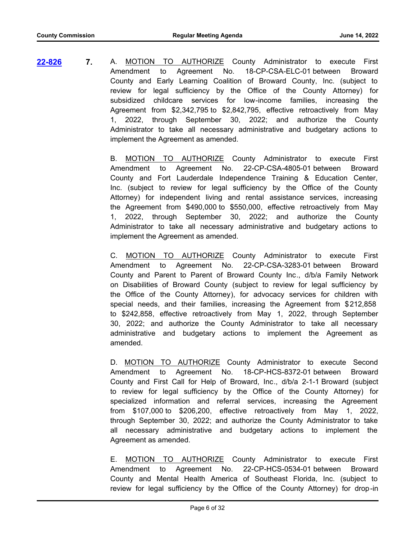**7.** A. MOTION TO AUTHORIZE County Administrator to execute First Amendment to Agreement No. 18-CP-CSA-ELC-01 between Broward County and Early Learning Coalition of Broward County, Inc. (subject to review for legal sufficiency by the Office of the County Attorney) for subsidized childcare services for low-income families, increasing the Agreement from \$2,342,795 to \$2,842,795, effective retroactively from May 1, 2022, through September 30, 2022; and authorize the County Administrator to take all necessary administrative and budgetary actions to implement the Agreement as amended. **[22-826](http://broward.legistar.com/gateway.aspx?m=l&id=/matter.aspx?key=10330)**

> B. MOTION TO AUTHORIZE County Administrator to execute First Amendment to Agreement No. 22-CP-CSA-4805-01 between Broward County and Fort Lauderdale Independence Training & Education Center, Inc. (subject to review for legal sufficiency by the Office of the County Attorney) for independent living and rental assistance services, increasing the Agreement from \$490,000 to \$550,000, effective retroactively from May 1, 2022, through September 30, 2022; and authorize the County Administrator to take all necessary administrative and budgetary actions to implement the Agreement as amended.

> C. MOTION TO AUTHORIZE County Administrator to execute First Amendment to Agreement No. 22-CP-CSA-3283-01 between Broward County and Parent to Parent of Broward County Inc., d/b/a Family Network on Disabilities of Broward County (subject to review for legal sufficiency by the Office of the County Attorney), for advocacy services for children with special needs, and their families, increasing the Agreement from \$212,858 to \$242,858, effective retroactively from May 1, 2022, through September 30, 2022; and authorize the County Administrator to take all necessary administrative and budgetary actions to implement the Agreement as amended.

> D. **MOTION TO AUTHORIZE** County Administrator to execute Second Amendment to Agreement No. 18-CP-HCS-8372-01 between Broward County and First Call for Help of Broward, Inc., d/b/a 2-1-1 Broward (subject to review for legal sufficiency by the Office of the County Attorney) for specialized information and referral services, increasing the Agreement from \$107,000 to \$206,200, effective retroactively from May 1, 2022, through September 30, 2022; and authorize the County Administrator to take all necessary administrative and budgetary actions to implement the Agreement as amended.

> E. MOTION TO AUTHORIZE County Administrator to execute First Amendment to Agreement No. 22-CP-HCS-0534-01 between Broward County and Mental Health America of Southeast Florida, Inc. (subject to review for legal sufficiency by the Office of the County Attorney) for drop-in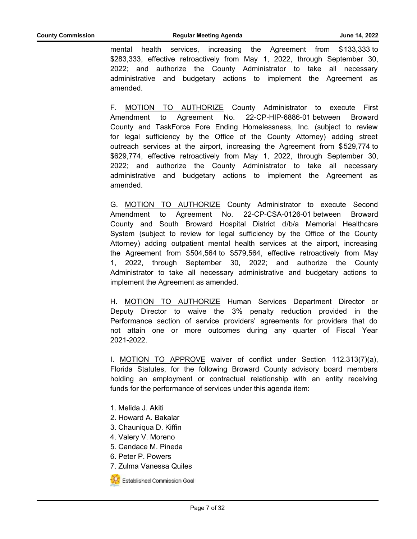mental health services, increasing the Agreement from \$133,333 to \$283,333, effective retroactively from May 1, 2022, through September 30, 2022; and authorize the County Administrator to take all necessary administrative and budgetary actions to implement the Agreement as amended.

F. MOTION TO AUTHORIZE County Administrator to execute First Amendment to Agreement No. 22-CP-HIP-6886-01 between Broward County and TaskForce Fore Ending Homelessness, Inc. (subject to review for legal sufficiency by the Office of the County Attorney) adding street outreach services at the airport, increasing the Agreement from \$529,774 to \$629,774, effective retroactively from May 1, 2022, through September 30, 2022; and authorize the County Administrator to take all necessary administrative and budgetary actions to implement the Agreement as amended.

G. MOTION TO AUTHORIZE County Administrator to execute Second Amendment to Agreement No. 22-CP-CSA-0126-01 between Broward County and South Broward Hospital District d/b/a Memorial Healthcare System (subject to review for legal sufficiency by the Office of the County Attorney) adding outpatient mental health services at the airport, increasing the Agreement from \$504,564 to \$579,564, effective retroactively from May 1, 2022, through September 30, 2022; and authorize the County Administrator to take all necessary administrative and budgetary actions to implement the Agreement as amended.

H. **MOTION TO AUTHORIZE** Human Services Department Director or Deputy Director to waive the 3% penalty reduction provided in the Performance section of service providers' agreements for providers that do not attain one or more outcomes during any quarter of Fiscal Year 2021-2022.

I. MOTION TO APPROVE waiver of conflict under Section 112.313(7)(a), Florida Statutes, for the following Broward County advisory board members holding an employment or contractual relationship with an entity receiving funds for the performance of services under this agenda item:

- 1. Melida J. Akiti
- 2. Howard A. Bakalar
- 3. Chauniqua D. Kiffin
- 4. Valery V. Moreno
- 5. Candace M. Pineda
- 6. Peter P. Powers
- 7. Zulma Vanessa Quiles



**CC** Established Commission Goal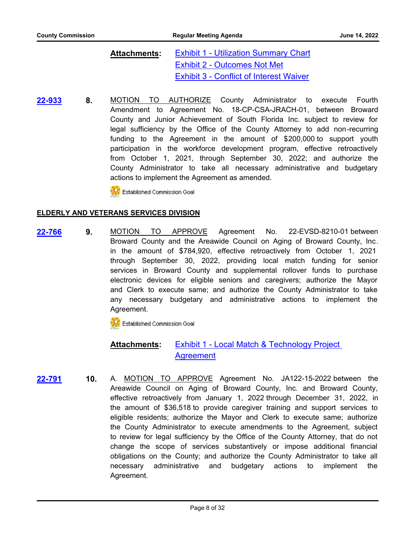[Exhibit 1 - Utilization Summary Chart](http://broward.legistar.com/gateway.aspx?M=F&ID=381af797-3281-44a0-b22f-aa7b7b10a113.pdf) [Exhibit 2 - Outcomes Not Met](http://broward.legistar.com/gateway.aspx?M=F&ID=25a4593d-568e-41e8-b9b7-0ac5365c7ca4.pdf) [Exhibit 3 - Conflict of Interest Waiver](http://broward.legistar.com/gateway.aspx?M=F&ID=e9460aaa-3586-45e8-9ee0-112483691424.pdf) **Attachments:**

**8.** MOTION TO AUTHORIZE County Administrator to execute Fourth Amendment to Agreement No. 18-CP-CSA-JRACH-01, between Broward County and Junior Achievement of South Florida Inc. subject to review for legal sufficiency by the Office of the County Attorney to add non-recurring funding to the Agreement in the amount of \$200,000 to support youth participation in the workforce development program, effective retroactively from October 1, 2021, through September 30, 2022; and authorize the County Administrator to take all necessary administrative and budgetary actions to implement the Agreement as amended. **[22-933](http://broward.legistar.com/gateway.aspx?m=l&id=/matter.aspx?key=10437)**

Established Commission Goal

#### **ELDERLY AND VETERANS SERVICES DIVISION**

**9.** MOTION TO APPROVE Agreement No. 22-EVSD-8210-01 between Broward County and the Areawide Council on Aging of Broward County, Inc. in the amount of \$784,920, effective retroactively from October 1, 2021 through September 30, 2022, providing local match funding for senior services in Broward County and supplemental rollover funds to purchase electronic devices for eligible seniors and caregivers; authorize the Mayor and Clerk to execute same; and authorize the County Administrator to take any necessary budgetary and administrative actions to implement the Agreement. **[22-766](http://broward.legistar.com/gateway.aspx?m=l&id=/matter.aspx?key=10270)**

**CC** Established Commission Goal

#### [Exhibit 1 - Local Match & Technology Project](http://broward.legistar.com/gateway.aspx?M=F&ID=c461276e-2762-4cc0-839d-96694cfe6a7e.pdf)  Agreement **Attachments:**

**10.** A. MOTION TO APPROVE Agreement No. JA122-15-2022 between the Areawide Council on Aging of Broward County, Inc. and Broward County, effective retroactively from January 1, 2022 through December 31, 2022, in the amount of \$36,518 to provide caregiver training and support services to eligible residents; authorize the Mayor and Clerk to execute same; authorize the County Administrator to execute amendments to the Agreement, subject to review for legal sufficiency by the Office of the County Attorney, that do not change the scope of services substantively or impose additional financial obligations on the County; and authorize the County Administrator to take all necessary administrative and budgetary actions to implement the Agreement. **[22-791](http://broward.legistar.com/gateway.aspx?m=l&id=/matter.aspx?key=10295)**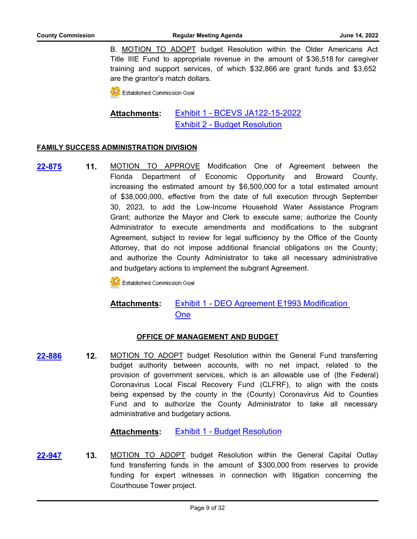B. MOTION TO ADOPT budget Resolution within the Older Americans Act Title IIIE Fund to appropriate revenue in the amount of \$36,518 for caregiver training and support services, of which \$32,866 are grant funds and \$3,652 are the grantor's match dollars.

**Established Commission Goal** 

#### [Exhibit 1 - BCEVS JA122-15-2022](http://broward.legistar.com/gateway.aspx?M=F&ID=19391385-2bbd-4355-b2b4-a9f016d7a1e5.pdf) [Exhibit 2 - Budget Resolution](http://broward.legistar.com/gateway.aspx?M=F&ID=7c75dc18-48af-4129-83bd-d4a0080cef49.pdf) **Attachments:**

#### **FAMILY SUCCESS ADMINISTRATION DIVISION**

**11.** MOTION TO APPROVE Modification One of Agreement between the Florida Department of Economic Opportunity and Broward County, increasing the estimated amount by \$6,500,000 for a total estimated amount of \$38,000,000, effective from the date of full execution through September 30, 2023, to add the Low-Income Household Water Assistance Program Grant; authorize the Mayor and Clerk to execute same; authorize the County Administrator to execute amendments and modifications to the subgrant Agreement, subject to review for legal sufficiency by the Office of the County Attorney, that do not impose additional financial obligations on the County; and authorize the County Administrator to take all necessary administrative and budgetary actions to implement the subgrant Agreement. **[22-875](http://broward.legistar.com/gateway.aspx?m=l&id=/matter.aspx?key=10379)**

**K** Established Commission Goal

#### [Exhibit 1 - DEO Agreement E1993 Modification](http://broward.legistar.com/gateway.aspx?M=F&ID=5d06706c-eeaa-4b9c-91aa-d42daedc6487.pdf)  **One Attachments:**

#### **OFFICE OF MANAGEMENT AND BUDGET**

**12.** MOTION TO ADOPT budget Resolution within the General Fund transferring budget authority between accounts, with no net impact, related to the provision of government services, which is an allowable use of (the Federal) Coronavirus Local Fiscal Recovery Fund (CLFRF), to align with the costs being expensed by the county in the (County) Coronavirus Aid to Counties Fund and to authorize the County Administrator to take all necessary administrative and budgetary actions. **[22-886](http://broward.legistar.com/gateway.aspx?m=l&id=/matter.aspx?key=10390)**

**Attachments:** [Exhibit 1 - Budget Resolution](http://broward.legistar.com/gateway.aspx?M=F&ID=84af730b-a7c2-47e4-b16f-cee8898ccf33.pdf)

**13.** MOTION TO ADOPT budget Resolution within the General Capital Outlay fund transferring funds in the amount of \$300,000 from reserves to provide funding for expert witnesses in connection with litigation concerning the Courthouse Tower project. **[22-947](http://broward.legistar.com/gateway.aspx?m=l&id=/matter.aspx?key=10451)**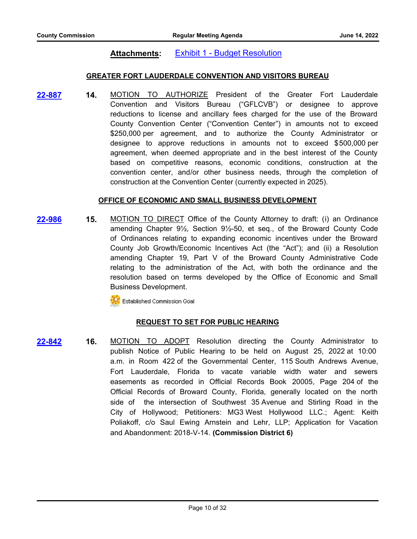# **Attachments:** [Exhibit 1 - Budget Resolution](http://broward.legistar.com/gateway.aspx?M=F&ID=96a9a777-ce84-44eb-832e-19429d4c26db.pdf)

#### **GREATER FORT LAUDERDALE CONVENTION AND VISITORS BUREAU**

**14.** MOTION TO AUTHORIZE President of the Greater Fort Lauderdale Convention and Visitors Bureau ("GFLCVB") or designee to approve reductions to license and ancillary fees charged for the use of the Broward County Convention Center ("Convention Center") in amounts not to exceed \$250,000 per agreement, and to authorize the County Administrator or designee to approve reductions in amounts not to exceed \$500,000 per agreement, when deemed appropriate and in the best interest of the County based on competitive reasons, economic conditions, construction at the convention center, and/or other business needs, through the completion of construction at the Convention Center (currently expected in 2025). **[22-887](http://broward.legistar.com/gateway.aspx?m=l&id=/matter.aspx?key=10391)**

#### **OFFICE OF ECONOMIC AND SMALL BUSINESS DEVELOPMENT**

**15.** MOTION TO DIRECT Office of the County Attorney to draft: (i) an Ordinance amending Chapter 9½, Section 9½-50, et seq., of the Broward County Code of Ordinances relating to expanding economic incentives under the Broward County Job Growth/Economic Incentives Act (the "Act"); and (ii) a Resolution amending Chapter 19, Part V of the Broward County Administrative Code relating to the administration of the Act, with both the ordinance and the resolution based on terms developed by the Office of Economic and Small Business Development. **[22-986](http://broward.legistar.com/gateway.aspx?m=l&id=/matter.aspx?key=10490)**

Established Commission Goal

#### **REQUEST TO SET FOR PUBLIC HEARING**

**16.** MOTION TO ADOPT Resolution directing the County Administrator to publish Notice of Public Hearing to be held on August 25, 2022 at 10:00 a.m. in Room 422 of the Governmental Center, 115 South Andrews Avenue, Fort Lauderdale, Florida to vacate variable width water and sewers easements as recorded in Official Records Book 20005, Page 204 of the Official Records of Broward County, Florida, generally located on the north side of the intersection of Southwest 35 Avenue and Stirling Road in the City of Hollywood; Petitioners: MG3 West Hollywood LLC.; Agent: Keith Poliakoff, c/o Saul Ewing Arnstein and Lehr, LLP; Application for Vacation and Abandonment: 2018-V-14. **(Commission District 6) [22-842](http://broward.legistar.com/gateway.aspx?m=l&id=/matter.aspx?key=10346)**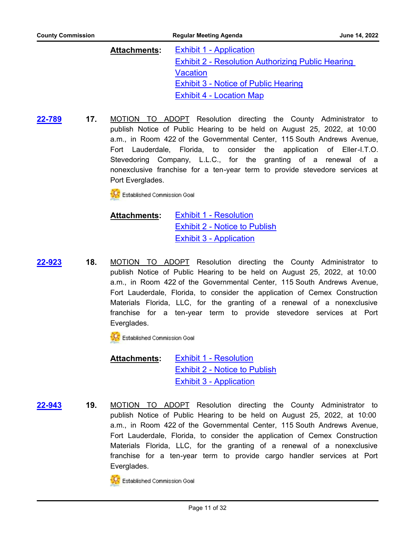| Attachments: | <b>Exhibit 1 - Application</b>                           |
|--------------|----------------------------------------------------------|
|              | <b>Exhibit 2 - Resolution Authorizing Public Hearing</b> |
|              | <b>Vacation</b>                                          |
|              | <b>Exhibit 3 - Notice of Public Hearing</b>              |
|              | <b>Exhibit 4 - Location Map</b>                          |

**17.** MOTION TO ADOPT Resolution directing the County Administrator to publish Notice of Public Hearing to be held on August 25, 2022, at 10:00 a.m., in Room 422 of the Governmental Center, 115 South Andrews Avenue, Fort Lauderdale, Florida, to consider the application of Eller-I.T.O. Stevedoring Company, L.L.C., for the granting of a renewal of a nonexclusive franchise for a ten-year term to provide stevedore services at Port Everglades. **[22-789](http://broward.legistar.com/gateway.aspx?m=l&id=/matter.aspx?key=10293)**

**CC** Established Commission Goal

[Exhibit 1 - Resolution](http://broward.legistar.com/gateway.aspx?M=F&ID=04f860d8-0521-4945-974f-466b743200e9.pdf) [Exhibit 2 - Notice to Publish](http://broward.legistar.com/gateway.aspx?M=F&ID=d0ba3133-1b3b-4fc5-bab3-c22510d1d5ab.pdf) [Exhibit 3 - Application](http://broward.legistar.com/gateway.aspx?M=F&ID=3b9873e8-6286-4e5e-bb70-a4981d2ea46c.pdf) **Attachments:**

**18.** MOTION TO ADOPT Resolution directing the County Administrator to publish Notice of Public Hearing to be held on August 25, 2022, at 10:00 a.m., in Room 422 of the Governmental Center, 115 South Andrews Avenue, Fort Lauderdale, Florida, to consider the application of Cemex Construction Materials Florida, LLC, for the granting of a renewal of a nonexclusive franchise for a ten-year term to provide stevedore services at Port Everglades. **[22-923](http://broward.legistar.com/gateway.aspx?m=l&id=/matter.aspx?key=10427)**

**CC** Established Commission Goal

[Exhibit 1 - Resolution](http://broward.legistar.com/gateway.aspx?M=F&ID=dfcb101d-80b7-49b1-851f-6b80de902706.pdf) [Exhibit 2 - Notice to Publish](http://broward.legistar.com/gateway.aspx?M=F&ID=aae97e31-8bb6-41c7-89fb-e3c4137786d4.pdf) [Exhibit 3 - Application](http://broward.legistar.com/gateway.aspx?M=F&ID=fd982b7f-4298-435e-afcf-929b3a18aea9.pdf) **Attachments:**

**19.** MOTION TO ADOPT Resolution directing the County Administrator to publish Notice of Public Hearing to be held on August 25, 2022, at 10:00 a.m., in Room 422 of the Governmental Center, 115 South Andrews Avenue, Fort Lauderdale, Florida, to consider the application of Cemex Construction Materials Florida, LLC, for the granting of a renewal of a nonexclusive franchise for a ten-year term to provide cargo handler services at Port Everglades. **[22-943](http://broward.legistar.com/gateway.aspx?m=l&id=/matter.aspx?key=10447)**



**TAC** Established Commission Goal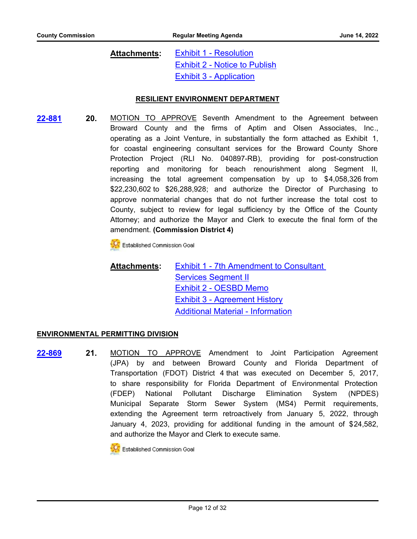#### [Exhibit 1 - Resolution](http://broward.legistar.com/gateway.aspx?M=F&ID=42de51c4-ed12-498b-9ab9-fb40e16f0de7.pdf) [Exhibit 2 - Notice to Publish](http://broward.legistar.com/gateway.aspx?M=F&ID=59dc71eb-92d7-4aa6-a809-ce90a57adb3d.pdf) [Exhibit 3 - Application](http://broward.legistar.com/gateway.aspx?M=F&ID=c136b30c-1c67-4085-adfd-febf494c91b4.pdf) **Attachments:**

#### **RESILIENT ENVIRONMENT DEPARTMENT**

**[22-881](http://broward.legistar.com/gateway.aspx?m=l&id=/matter.aspx?key=10385)**

**20.** MOTION TO APPROVE Seventh Amendment to the Agreement between Broward County and the firms of Aptim and Olsen Associates, Inc., operating as a Joint Venture, in substantially the form attached as Exhibit 1, for coastal engineering consultant services for the Broward County Shore Protection Project (RLI No. 040897-RB), providing for post-construction reporting and monitoring for beach renourishment along Segment II, increasing the total agreement compensation by up to \$4,058,326 from \$22,230,602 to \$26,288,928; and authorize the Director of Purchasing to approve nonmaterial changes that do not further increase the total cost to County, subject to review for legal sufficiency by the Office of the County Attorney; and authorize the Mayor and Clerk to execute the final form of the amendment. **(Commission District 4)**

Established Commission Goal

[Exhibit 1 - 7th Amendment to Consultant](http://broward.legistar.com/gateway.aspx?M=F&ID=f312dbcc-a53b-4fa9-837c-679120734705.pdf)  Services Segment II [Exhibit 2 - OESBD Memo](http://broward.legistar.com/gateway.aspx?M=F&ID=97e79e41-140b-42c4-ae46-071466071adf.pdf) [Exhibit 3 - Agreement History](http://broward.legistar.com/gateway.aspx?M=F&ID=1d9a9755-2ef1-46ad-bcab-ba973d753f90.pdf) [Additional Material - Information](http://broward.legistar.com/gateway.aspx?M=F&ID=cc8ad565-6ce9-4b39-8987-ed355e6a9d56.pdf) **Attachments:**

#### **ENVIRONMENTAL PERMITTING DIVISION**

**21.** MOTION TO APPROVE Amendment to Joint Participation Agreement (JPA) by and between Broward County and Florida Department of Transportation (FDOT) District 4 that was executed on December 5, 2017, to share responsibility for Florida Department of Environmental Protection (FDEP) National Pollutant Discharge Elimination System (NPDES) Municipal Separate Storm Sewer System (MS4) Permit requirements, extending the Agreement term retroactively from January 5, 2022, through January 4, 2023, providing for additional funding in the amount of \$24,582, and authorize the Mayor and Clerk to execute same. **[22-869](http://broward.legistar.com/gateway.aspx?m=l&id=/matter.aspx?key=10373)**

**C** Established Commission Goal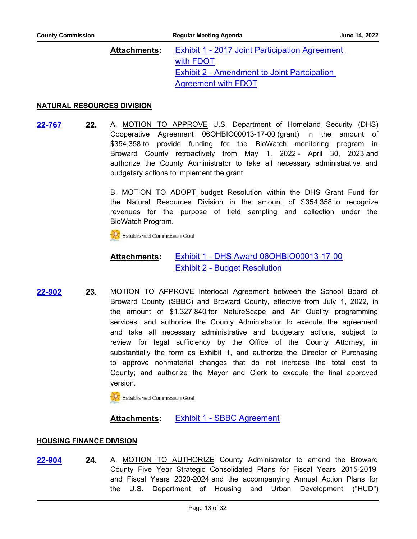#### [Exhibit 1 - 2017 Joint Participation Agreement](http://broward.legistar.com/gateway.aspx?M=F&ID=87386b5e-c6af-4a3b-89ba-3cea627dc90c.pdf)  with FDOT **Exhibit 2 - Amendment to Joint Partcipation** Agreement with FDOT **Attachments:**

#### **NATURAL RESOURCES DIVISION**

**22.** A. MOTION TO APPROVE U.S. Department of Homeland Security (DHS) Cooperative Agreement 06OHBIO00013-17-00 (grant) in the amount of \$354,358 to provide funding for the BioWatch monitoring program in Broward County retroactively from May 1, 2022 - April 30, 2023 and authorize the County Administrator to take all necessary administrative and budgetary actions to implement the grant. **[22-767](http://broward.legistar.com/gateway.aspx?m=l&id=/matter.aspx?key=10271)**

> B. MOTION TO ADOPT budget Resolution within the DHS Grant Fund for the Natural Resources Division in the amount of \$354,358 to recognize revenues for the purpose of field sampling and collection under the BioWatch Program.

Established Commission Goal

#### [Exhibit 1 - DHS Award 06OHBIO00013-17-00](http://broward.legistar.com/gateway.aspx?M=F&ID=5a071ac0-b531-41da-95ad-7765081dad2e.pdf) [Exhibit 2 - Budget Resolution](http://broward.legistar.com/gateway.aspx?M=F&ID=6fd789a3-054a-4a0f-be70-3798a9b59ceb.pdf) **Attachments:**

**23.** MOTION TO APPROVE Interlocal Agreement between the School Board of Broward County (SBBC) and Broward County, effective from July 1, 2022, in the amount of \$1,327,840 for NatureScape and Air Quality programming services; and authorize the County Administrator to execute the agreement and take all necessary administrative and budgetary actions, subject to review for legal sufficiency by the Office of the County Attorney, in substantially the form as Exhibit 1, and authorize the Director of Purchasing to approve nonmaterial changes that do not increase the total cost to County; and authorize the Mayor and Clerk to execute the final approved version. **[22-902](http://broward.legistar.com/gateway.aspx?m=l&id=/matter.aspx?key=10406)**

**CC** Established Commission Goal

# **Attachments:** [Exhibit 1 - SBBC Agreement](http://broward.legistar.com/gateway.aspx?M=F&ID=f6ac9641-4dda-4927-bf01-71be7a3e4570.pdf)

#### **HOUSING FINANCE DIVISION**

**24.** A. MOTION TO AUTHORIZE County Administrator to amend the Broward County Five Year Strategic Consolidated Plans for Fiscal Years 2015-2019 and Fiscal Years 2020-2024 and the accompanying Annual Action Plans for the U.S. Department of Housing and Urban Development ("HUD") **[22-904](http://broward.legistar.com/gateway.aspx?m=l&id=/matter.aspx?key=10408)**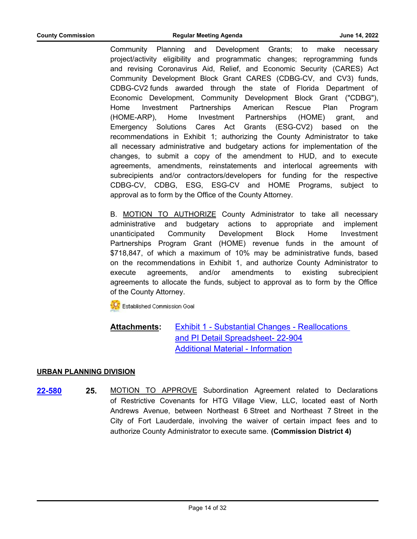Community Planning and Development Grants; to make necessary project/activity eligibility and programmatic changes; reprogramming funds and revising Coronavirus Aid, Relief, and Economic Security (CARES) Act Community Development Block Grant CARES (CDBG-CV, and CV3) funds, CDBG-CV2 funds awarded through the state of Florida Department of Economic Development, Community Development Block Grant ("CDBG"), Home Investment Partnerships American Rescue Plan Program (HOME-ARP), Home Investment Partnerships (HOME) grant, and Emergency Solutions Cares Act Grants (ESG-CV2) based on the recommendations in Exhibit 1; authorizing the County Administrator to take all necessary administrative and budgetary actions for implementation of the changes, to submit a copy of the amendment to HUD, and to execute agreements, amendments, reinstatements and interlocal agreements with subrecipients and/or contractors/developers for funding for the respective CDBG-CV, CDBG, ESG, ESG-CV and HOME Programs, subject to approval as to form by the Office of the County Attorney.

B. MOTION TO AUTHORIZE County Administrator to take all necessary administrative and budgetary actions to appropriate and implement unanticipated Community Development Block Home Investment Partnerships Program Grant (HOME) revenue funds in the amount of \$718,847, of which a maximum of 10% may be administrative funds, based on the recommendations in Exhibit 1, and authorize County Administrator to execute agreements, and/or amendments to existing subrecipient agreements to allocate the funds, subject to approval as to form by the Office of the County Attorney.

Established Commission Goal

[Exhibit 1 - Substantial Changes - Reallocations](http://broward.legistar.com/gateway.aspx?M=F&ID=4227f032-1db1-4b23-9754-dded8117813e.pdf)  and PI Detail Spreadsheet- 22-904 [Additional Material - Information](http://broward.legistar.com/gateway.aspx?M=F&ID=9fc978a5-db1c-40d7-af37-75bd7d9cdb8b.pdf) **Attachments:**

#### **URBAN PLANNING DIVISION**

**25.** MOTION TO APPROVE Subordination Agreement related to Declarations of Restrictive Covenants for HTG Village View, LLC, located east of North Andrews Avenue, between Northeast 6 Street and Northeast 7 Street in the City of Fort Lauderdale, involving the waiver of certain impact fees and to authorize County Administrator to execute same. **(Commission District 4) [22-580](http://broward.legistar.com/gateway.aspx?m=l&id=/matter.aspx?key=10083)**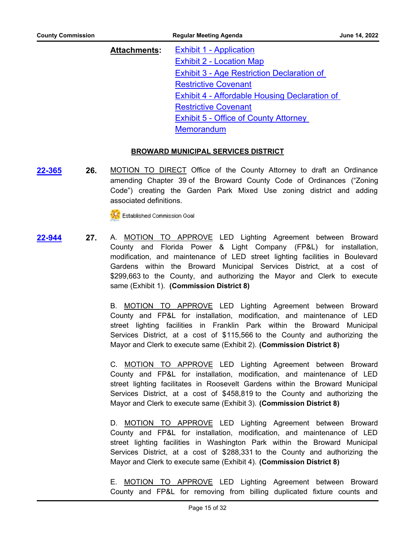| Attachments: | <b>Exhibit 1 - Application</b>                       |
|--------------|------------------------------------------------------|
|              | <b>Exhibit 2 - Location Map</b>                      |
|              | <b>Exhibit 3 - Age Restriction Declaration of</b>    |
|              | <b>Restrictive Covenant</b>                          |
|              | <b>Exhibit 4 - Affordable Housing Declaration of</b> |
|              | <b>Restrictive Covenant</b>                          |
|              | <b>Exhibit 5 - Office of County Attorney</b>         |
|              | <b>Memorandum</b>                                    |

#### **BROWARD MUNICIPAL SERVICES DISTRICT**

**26.** MOTION TO DIRECT Office of the County Attorney to draft an Ordinance amending Chapter 39 of the Broward County Code of Ordinances ("Zoning Code") creating the Garden Park Mixed Use zoning district and adding associated definitions. **[22-365](http://broward.legistar.com/gateway.aspx?m=l&id=/matter.aspx?key=9868)**

**Established Commission Goal** 

**27.** A. MOTION TO APPROVE LED Lighting Agreement between Broward County and Florida Power & Light Company (FP&L) for installation, modification, and maintenance of LED street lighting facilities in Boulevard Gardens within the Broward Municipal Services District, at a cost of \$299,663 to the County, and authorizing the Mayor and Clerk to execute same (Exhibit 1). **(Commission District 8) [22-944](http://broward.legistar.com/gateway.aspx?m=l&id=/matter.aspx?key=10448)**

> B. MOTION TO APPROVE LED Lighting Agreement between Broward County and FP&L for installation, modification, and maintenance of LED street lighting facilities in Franklin Park within the Broward Municipal Services District, at a cost of \$115,566 to the County and authorizing the Mayor and Clerk to execute same (Exhibit 2). **(Commission District 8)**

> C. MOTION TO APPROVE LED Lighting Agreement between Broward County and FP&L for installation, modification, and maintenance of LED street lighting facilitates in Roosevelt Gardens within the Broward Municipal Services District, at a cost of \$458,819 to the County and authorizing the Mayor and Clerk to execute same (Exhibit 3). **(Commission District 8)**

> D. MOTION TO APPROVE LED Lighting Agreement between Broward County and FP&L for installation, modification, and maintenance of LED street lighting facilities in Washington Park within the Broward Municipal Services District, at a cost of \$288,331 to the County and authorizing the Mayor and Clerk to execute same (Exhibit 4). **(Commission District 8)**

> E. MOTION TO APPROVE LED Lighting Agreement between Broward County and FP&L for removing from billing duplicated fixture counts and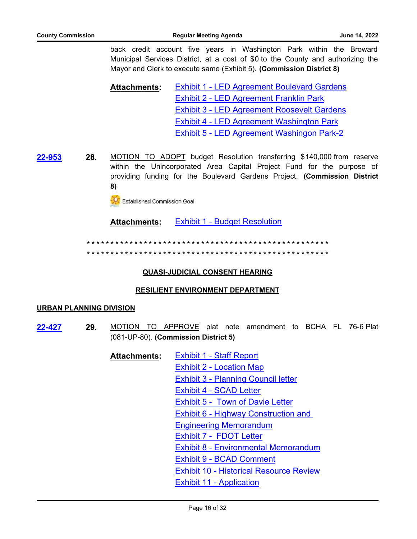back credit account five years in Washington Park within the Broward Municipal Services District, at a cost of \$0 to the County and authorizing the Mayor and Clerk to execute same (Exhibit 5). **(Commission District 8)**

[Exhibit 1 - LED Agreement Boulevard Gardens](http://broward.legistar.com/gateway.aspx?M=F&ID=aa6093d3-0dd1-47fb-b589-479cfd17bef3.pdf) [Exhibit 2 - LED Agreement Franklin Park](http://broward.legistar.com/gateway.aspx?M=F&ID=fcc3d065-e65f-4771-afa5-904d0fd3222e.pdf) [Exhibit 3 - LED Agreement Roosevelt Gardens](http://broward.legistar.com/gateway.aspx?M=F&ID=021fb49d-caf2-4d5d-abc8-73213ed822d1.pdf) [Exhibit 4 - LED Agreement Washington Park](http://broward.legistar.com/gateway.aspx?M=F&ID=1087e560-15c2-49d8-b9cf-6d912265e558.pdf) [Exhibit 5 - LED Agreement Washingon Park-2](http://broward.legistar.com/gateway.aspx?M=F&ID=702114e3-fe79-4b81-9a07-099b0a3b6763.pdf) **Attachments:**

**[22-953](http://broward.legistar.com/gateway.aspx?m=l&id=/matter.aspx?key=10457)**

**28.** MOTION TO ADOPT budget Resolution transferring \$140,000 from reserve within the Unincorporated Area Capital Project Fund for the purpose of providing funding for the Boulevard Gardens Project. **(Commission District 8)**

Established Commission Goal

**Attachments:** [Exhibit 1 - Budget Resolution](http://broward.legistar.com/gateway.aspx?M=F&ID=dbcd2318-77ba-40cb-8e84-902368a1cf33.pdf)

**\* \* \* \* \* \* \* \* \* \* \* \* \* \* \* \* \* \* \* \* \* \* \* \* \* \* \* \* \* \* \* \* \* \* \* \* \* \* \* \* \* \* \* \* \* \* \* \* \* \* \* \* \* \* \* \* \* \* \* \* \* \* \* \* \* \* \* \* \* \* \* \* \* \* \* \* \* \* \* \* \* \* \* \* \* \* \* \* \* \* \* \* \* \* \* \* \* \* \* \* \* \***

### **QUASI-JUDICIAL CONSENT HEARING**

### **RESILIENT ENVIRONMENT DEPARTMENT**

#### **URBAN PLANNING DIVISION**

- **29.** MOTION TO APPROVE plat note amendment to BCHA FL 76-6 Plat (081-UP-80). **(Commission District 5) [22-427](http://broward.legistar.com/gateway.aspx?m=l&id=/matter.aspx?key=9930)**
	- [Exhibit 1 Staff Report](http://broward.legistar.com/gateway.aspx?M=F&ID=7bf7f97d-9198-4fc9-8738-2a4b6a85fbcd.pdf) [Exhibit 2 - Location Map](http://broward.legistar.com/gateway.aspx?M=F&ID=c2be1994-17db-4cf0-8f63-c29a656c1a26.pdf) [Exhibit 3 - Planning Council letter](http://broward.legistar.com/gateway.aspx?M=F&ID=115b2c17-cab4-4284-aaf5-bb75c5c1e81a.pdf) [Exhibit 4 - SCAD Letter](http://broward.legistar.com/gateway.aspx?M=F&ID=0b453a29-378e-4559-a307-efff08d43328.pdf) [Exhibit 5 - Town of Davie Letter](http://broward.legistar.com/gateway.aspx?M=F&ID=660e1d9e-0b6e-4dc3-a7bf-b00a49795837.pdf) [Exhibit 6 - Highway Construction and](http://broward.legistar.com/gateway.aspx?M=F&ID=b8d4e09c-2735-4e26-8ae9-6e11918d36ae.pdf)  Engineering Memorandum [Exhibit 7 - FDOT Letter](http://broward.legistar.com/gateway.aspx?M=F&ID=ffb7bae8-58fe-49fb-b08f-0cc1cf44085a.pdf) [Exhibit 8 - Environmental Memorandum](http://broward.legistar.com/gateway.aspx?M=F&ID=d9d6f22e-5ac4-4c6e-81bb-47c707ce9190.pdf) [Exhibit 9 - BCAD Comment](http://broward.legistar.com/gateway.aspx?M=F&ID=ba68097e-740e-4ae8-b002-e11c02035b7d.pdf) [Exhibit 10 - Historical Resource Review](http://broward.legistar.com/gateway.aspx?M=F&ID=3ef78fae-95ef-4761-a19e-2c29b58ec158.pdf) [Exhibit 11 - Application](http://broward.legistar.com/gateway.aspx?M=F&ID=ab196143-1324-4ad6-a349-968065da6163.pdf) **Attachments:**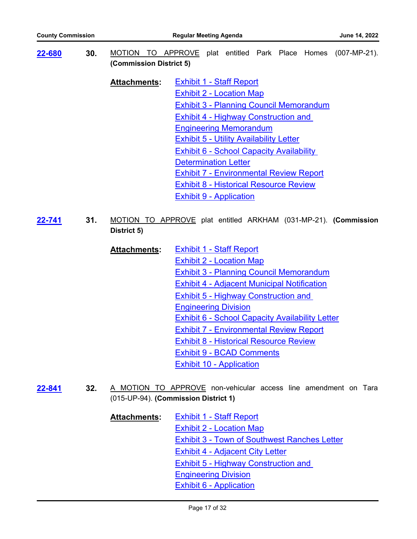**30.** MOTION TO APPROVE plat entitled Park Place Homes (007-MP-21). **(Commission District 5) [22-680](http://broward.legistar.com/gateway.aspx?m=l&id=/matter.aspx?key=10183)** [Exhibit 1 - Staff Report](http://broward.legistar.com/gateway.aspx?M=F&ID=11158ed0-956c-4f72-8a84-d26f5f5d0831.pdf) [Exhibit 2 - Location Map](http://broward.legistar.com/gateway.aspx?M=F&ID=8cc737a9-3982-4bf5-94fb-9d91223e8e2d.pdf) [Exhibit 3 - Planning Council Memorandum](http://broward.legistar.com/gateway.aspx?M=F&ID=ec7a623d-8d52-43cd-a84e-782f01eeff38.pdf) [Exhibit 4 - Highway Construction and](http://broward.legistar.com/gateway.aspx?M=F&ID=c8391f29-d7e0-4f04-b80b-915f7d4f4049.pdf)  Engineering Memorandum [Exhibit 5 - Utility Availability Letter](http://broward.legistar.com/gateway.aspx?M=F&ID=d9d7f8e8-fcba-4de7-a16c-a0bba375785a.pdf) [Exhibit 6 - School Capacity Availability](http://broward.legistar.com/gateway.aspx?M=F&ID=66044467-5ebe-43a0-9a32-604651a20c25.pdf)  Determination Letter [Exhibit 7 - Environmental Review Report](http://broward.legistar.com/gateway.aspx?M=F&ID=cad63269-7462-4540-999f-7225c367b5b6.pdf) **Attachments:**

[Exhibit 8 - Historical Resource Review](http://broward.legistar.com/gateway.aspx?M=F&ID=21c09556-9fb3-4372-8c83-0b84e04d1713.pdf)

[Exhibit 9 - Application](http://broward.legistar.com/gateway.aspx?M=F&ID=80dd5fd7-40c0-4e66-895a-e90ef44f87ef.pdf)

- **31.** MOTION TO APPROVE plat entitled ARKHAM (031-MP-21). **(Commission District 5) [22-741](http://broward.legistar.com/gateway.aspx?m=l&id=/matter.aspx?key=10245)**
	- [Exhibit 1 Staff Report](http://broward.legistar.com/gateway.aspx?M=F&ID=55eedea5-d54a-46fd-9b98-08ebeaf8b99e.pdf) [Exhibit 2 - Location Map](http://broward.legistar.com/gateway.aspx?M=F&ID=6218d4e1-896e-4e8e-90cb-628986ec0630.pdf) [Exhibit 3 - Planning Council Memorandum](http://broward.legistar.com/gateway.aspx?M=F&ID=f5fde738-0fbb-4e17-b414-9d3c379d1c1e.pdf) [Exhibit 4 - Adjacent Municipal Notification](http://broward.legistar.com/gateway.aspx?M=F&ID=6d498ab2-682f-4158-90e3-9f5d62a251fb.pdf) [Exhibit 5 - Highway Construction and](http://broward.legistar.com/gateway.aspx?M=F&ID=0fab1c4a-1b43-4cd8-a215-59849254f8c4.pdf)  Engineering Division [Exhibit 6 - School Capacity Availability Letter](http://broward.legistar.com/gateway.aspx?M=F&ID=ca49ac19-e7f7-42db-823f-8b2543046ed1.pdf) [Exhibit 7 - Environmental Review Report](http://broward.legistar.com/gateway.aspx?M=F&ID=06ee03f8-4987-42b4-be67-07ca45e66dd6.pdf) [Exhibit 8 - Historical Resource Review](http://broward.legistar.com/gateway.aspx?M=F&ID=741a28c7-2a0c-4366-bb08-7b962450185c.pdf) [Exhibit 9 - BCAD Comments](http://broward.legistar.com/gateway.aspx?M=F&ID=7df09554-223a-4844-bf05-4e562c37894e.pdf) [Exhibit 10 - Application](http://broward.legistar.com/gateway.aspx?M=F&ID=0d71266b-1214-46f2-8bed-5a6c7fddc3c0.pdf) **Attachments:**
- **32.** A MOTION TO APPROVE non-vehicular access line amendment on Tara (015-UP-94). **(Commission District 1) [22-841](http://broward.legistar.com/gateway.aspx?m=l&id=/matter.aspx?key=10345)**
	- [Exhibit 1 Staff Report](http://broward.legistar.com/gateway.aspx?M=F&ID=df5480e9-306e-4eb3-b4cd-0db029a45f86.pdf) [Exhibit 2 - Location Map](http://broward.legistar.com/gateway.aspx?M=F&ID=23dfa50b-9383-4515-9aa2-235fc48f7010.pdf) [Exhibit 3 - Town of Southwest Ranches Letter](http://broward.legistar.com/gateway.aspx?M=F&ID=75e02ac0-0324-45c7-83a4-47b3815525ac.pdf) [Exhibit 4 - Adjacent City Letter](http://broward.legistar.com/gateway.aspx?M=F&ID=60af3f91-8319-4fbf-a4db-1e94fd4e28c0.pdf) [Exhibit 5 - Highway Construction and](http://broward.legistar.com/gateway.aspx?M=F&ID=d67a754b-c71e-48e0-8e6d-5ff18701f8eb.pdf)  Engineering Division [Exhibit 6 - Application](http://broward.legistar.com/gateway.aspx?M=F&ID=c71207cf-90ee-49f5-9bf6-8f53d4c1db04.pdf) **Attachments:**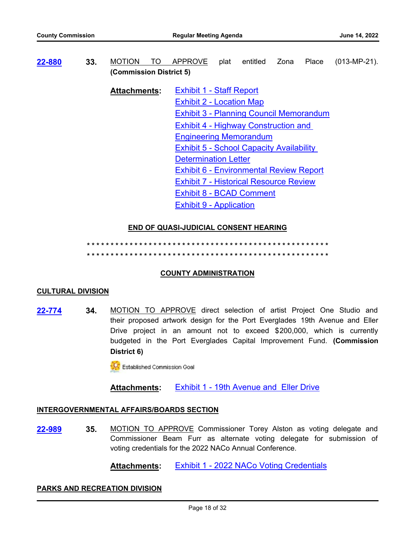**33.** MOTION TO APPROVE plat entitled Zona Place (013-MP-21). **(Commission District 5) [22-880](http://broward.legistar.com/gateway.aspx?m=l&id=/matter.aspx?key=10384)** [Exhibit 1 - Staff Report](http://broward.legistar.com/gateway.aspx?M=F&ID=10d09d10-9e7e-4a9c-a6e5-77072d8e967e.pdf) [Exhibit 2 - Location Map](http://broward.legistar.com/gateway.aspx?M=F&ID=a0224289-ae74-454a-ae8f-19bf86ef98e6.pdf) [Exhibit 3 - Planning Council Memorandum](http://broward.legistar.com/gateway.aspx?M=F&ID=1b96f182-b28e-4d36-960c-3e05439eee6a.pdf) [Exhibit 4 - Highway Construction and](http://broward.legistar.com/gateway.aspx?M=F&ID=6d3e5e2b-6736-40d9-9bf5-82ea1420f0c4.pdf)  Engineering Memorandum [Exhibit 5 - School Capacity Availability](http://broward.legistar.com/gateway.aspx?M=F&ID=85611fa9-debb-4356-8631-fcf8b116525f.pdf)  Determination Letter [Exhibit 6 - Environmental Review Report](http://broward.legistar.com/gateway.aspx?M=F&ID=ff715e26-a9e0-4388-aeef-0e23ba5ace29.pdf) [Exhibit 7 - Historical Resource Review](http://broward.legistar.com/gateway.aspx?M=F&ID=31c846ea-18e3-44b4-8e5c-3b371d70cb98.pdf) [Exhibit 8 - BCAD Comment](http://broward.legistar.com/gateway.aspx?M=F&ID=11ad5f19-b52b-4f8e-bd46-81454d57b4f6.pdf) [Exhibit 9 - Application](http://broward.legistar.com/gateway.aspx?M=F&ID=4adf3992-b9c4-4f4b-8ec0-fcffdbb73504.pdf) **Attachments:**

### **END OF QUASI-JUDICIAL CONSENT HEARING**

**\* \* \* \* \* \* \* \* \* \* \* \* \* \* \* \* \* \* \* \* \* \* \* \* \* \* \* \* \* \* \* \* \* \* \* \* \* \* \* \* \* \* \* \* \* \* \* \* \* \* \* \* \* \* \* \* \* \* \* \* \* \* \* \* \* \* \* \* \* \* \* \* \* \* \* \* \* \* \* \* \* \* \* \* \* \* \* \* \* \* \* \* \* \* \* \* \* \* \* \* \* \***

#### **COUNTY ADMINISTRATION**

#### **CULTURAL DIVISION**

**34.** MOTION TO APPROVE direct selection of artist Project One Studio and their proposed artwork design for the Port Everglades 19th Avenue and Eller Drive project in an amount not to exceed \$200,000, which is currently budgeted in the Port Everglades Capital Improvement Fund. **(Commission District 6) [22-774](http://broward.legistar.com/gateway.aspx?m=l&id=/matter.aspx?key=10278)**

**CC** Established Commission Goal

**Attachments:** [Exhibit 1 - 19th Avenue and Eller Drive](http://broward.legistar.com/gateway.aspx?M=F&ID=bf6c543b-6106-4eda-bbd7-6de2918f7857.pdf)

#### **INTERGOVERNMENTAL AFFAIRS/BOARDS SECTION**

**35.** MOTION TO APPROVE Commissioner Torey Alston as voting delegate and Commissioner Beam Furr as alternate voting delegate for submission of voting credentials for the 2022 NACo Annual Conference. **[22-989](http://broward.legistar.com/gateway.aspx?m=l&id=/matter.aspx?key=10493)**

**Attachments:** [Exhibit 1 - 2022 NACo Voting Credentials](http://broward.legistar.com/gateway.aspx?M=F&ID=97349877-9704-402a-8f68-b818fc47d455.pdf)

#### **PARKS AND RECREATION DIVISION**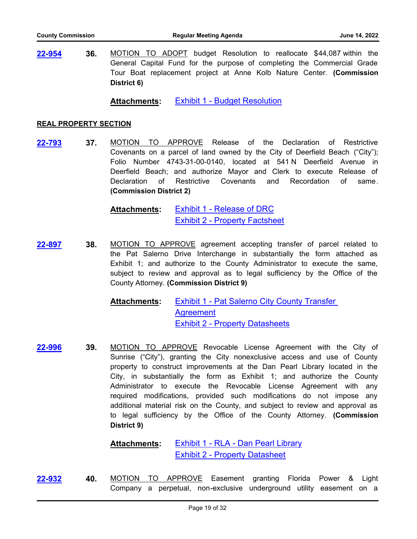**36.** MOTION TO ADOPT budget Resolution to reallocate \$44,087 within the General Capital Fund for the purpose of completing the Commercial Grade Tour Boat replacement project at Anne Kolb Nature Center. **(Commission District 6) [22-954](http://broward.legistar.com/gateway.aspx?m=l&id=/matter.aspx?key=10458)**

**Attachments:** [Exhibit 1 - Budget Resolution](http://broward.legistar.com/gateway.aspx?M=F&ID=3cde2e84-0efe-4dd0-89ec-e47fadee483e.pdf)

#### **REAL PROPERTY SECTION**

**37.** MOTION TO APPROVE Release of the Declaration of Restrictive Covenants on a parcel of land owned by the City of Deerfield Beach ("City"); Folio Number 4743-31-00-0140, located at 541 N Deerfield Avenue in Deerfield Beach; and authorize Mayor and Clerk to execute Release of Declaration of Restrictive Covenants and Recordation of same. **(Commission District 2) [22-793](http://broward.legistar.com/gateway.aspx?m=l&id=/matter.aspx?key=10297)**

> [Exhibit 1 - Release of DRC](http://broward.legistar.com/gateway.aspx?M=F&ID=925199ae-27db-40db-9e6c-1c04a46a21bc.pdf) [Exhibit 2 - Property Factsheet](http://broward.legistar.com/gateway.aspx?M=F&ID=bf40c942-5503-431c-a8af-a09379492bcc.pdf) **Attachments:**

**38.** MOTION TO APPROVE agreement accepting transfer of parcel related to the Pat Salerno Drive Interchange in substantially the form attached as Exhibit 1; and authorize to the County Administrator to execute the same, subject to review and approval as to legal sufficiency by the Office of the County Attorney. **(Commission District 9) [22-897](http://broward.legistar.com/gateway.aspx?m=l&id=/matter.aspx?key=10401)**

> [Exhibit 1 - Pat Salerno City County Transfer](http://broward.legistar.com/gateway.aspx?M=F&ID=4d820ee5-c281-48ca-9dd8-405f788eb907.pdf)  **Agreement** [Exhibit 2 - Property Datasheets](http://broward.legistar.com/gateway.aspx?M=F&ID=443cff32-39c2-42a3-9ebd-e5258de78a90.pdf) **Attachments:**

**39.** MOTION TO APPROVE Revocable License Agreement with the City of Sunrise ("City"), granting the City nonexclusive access and use of County property to construct improvements at the Dan Pearl Library located in the City, in substantially the form as Exhibit 1; and authorize the County Administrator to execute the Revocable License Agreement with any required modifications, provided such modifications do not impose any additional material risk on the County, and subject to review and approval as to legal sufficiency by the Office of the County Attorney. **(Commission District 9) [22-996](http://broward.legistar.com/gateway.aspx?m=l&id=/matter.aspx?key=10500)**

> [Exhibit 1 - RLA - Dan Pearl Library](http://broward.legistar.com/gateway.aspx?M=F&ID=1ad0cbfe-7318-4535-b8ce-84cec56129e7.pdf) [Exhibit 2 - Property Datasheet](http://broward.legistar.com/gateway.aspx?M=F&ID=88b2f4f5-666b-4652-aac1-08ef1e478fc3.pdf) **Attachments:**

**40.** MOTION TO APPROVE Easement granting Florida Power & Light Company a perpetual, non-exclusive underground utility easement on a **[22-932](http://broward.legistar.com/gateway.aspx?m=l&id=/matter.aspx?key=10436)**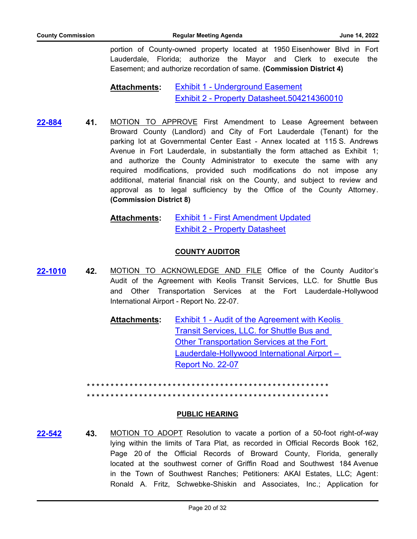portion of County-owned property located at 1950 Eisenhower Blvd in Fort Lauderdale, Florida; authorize the Mayor and Clerk to execute the Easement; and authorize recordation of same. **(Commission District 4)**

#### [Exhibit 1 - Underground Easement](http://broward.legistar.com/gateway.aspx?M=F&ID=e3940019-9d0b-4426-90eb-6ef9f252b790.pdf) [Exhibit 2 - Property Datasheet.504214360010](http://broward.legistar.com/gateway.aspx?M=F&ID=9bf6ff44-a8dd-43ea-bde2-eef30394c559.pdf) **Attachments:**

**41.** MOTION TO APPROVE First Amendment to Lease Agreement between Broward County (Landlord) and City of Fort Lauderdale (Tenant) for the parking lot at Governmental Center East - Annex located at 115 S. Andrews Avenue in Fort Lauderdale, in substantially the form attached as Exhibit 1; and authorize the County Administrator to execute the same with any required modifications, provided such modifications do not impose any additional, material financial risk on the County, and subject to review and approval as to legal sufficiency by the Office of the County Attorney. **(Commission District 8) [22-884](http://broward.legistar.com/gateway.aspx?m=l&id=/matter.aspx?key=10388)**

> [Exhibit 1 - First Amendment Updated](http://broward.legistar.com/gateway.aspx?M=F&ID=7f55b3d7-1c88-49cd-ab00-7e82a92776c4.pdf) [Exhibit 2 - Property Datasheet](http://broward.legistar.com/gateway.aspx?M=F&ID=70914a0e-fb53-44ac-b0f9-f1736b702649.pdf) **Attachments:**

#### **COUNTY AUDITOR**

**42.** MOTION TO ACKNOWLEDGE AND FILE Office of the County Auditor's Audit of the Agreement with Keolis Transit Services, LLC. for Shuttle Bus and Other Transportation Services at the Fort Lauderdale-Hollywood International Airport - Report No. 22-07. **[22-1010](http://broward.legistar.com/gateway.aspx?m=l&id=/matter.aspx?key=10514)**

> [Exhibit 1 - Audit of the Agreement with Keolis](http://broward.legistar.com/gateway.aspx?M=F&ID=40c2434d-9201-4858-a4a2-d8ecf625c0ff.pdf)  Transit Services, LLC. for Shuttle Bus and Other Transportation Services at the Fort Lauderdale-Hollywood International Airport – Report No. 22-07 **Attachments:**

**\* \* \* \* \* \* \* \* \* \* \* \* \* \* \* \* \* \* \* \* \* \* \* \* \* \* \* \* \* \* \* \* \* \* \* \* \* \* \* \* \* \* \* \* \* \* \* \* \* \* \* \* \* \* \* \* \* \* \* \* \* \* \* \* \* \* \* \* \* \* \* \* \* \* \* \* \* \* \* \* \* \* \* \* \* \* \* \* \* \* \* \* \* \* \* \* \* \* \* \* \* \***

#### **PUBLIC HEARING**

**43.** MOTION TO ADOPT Resolution to vacate a portion of a 50-foot right-of-way lying within the limits of Tara Plat, as recorded in Official Records Book 162, Page 20 of the Official Records of Broward County, Florida, generally located at the southwest corner of Griffin Road and Southwest 184 Avenue in the Town of Southwest Ranches; Petitioners: AKAI Estates, LLC; Agent: Ronald A. Fritz, Schwebke-Shiskin and Associates, Inc.; Application for **[22-542](http://broward.legistar.com/gateway.aspx?m=l&id=/matter.aspx?key=10045)**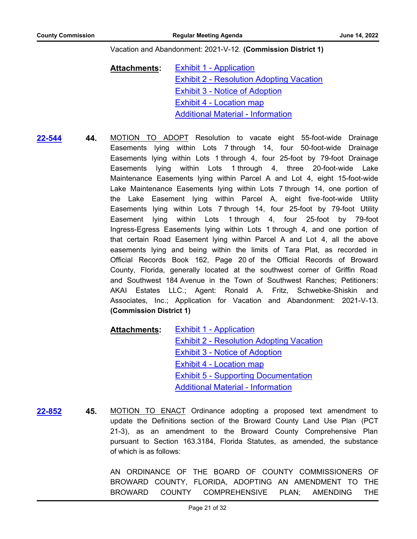#### Vacation and Abandonment: 2021-V-12. **(Commission District 1)**

[Exhibit 1 - Application](http://broward.legistar.com/gateway.aspx?M=F&ID=5309ac9b-89a9-4134-acac-5f803a54a97d.pdf) [Exhibit 2 - Resolution Adopting Vacation](http://broward.legistar.com/gateway.aspx?M=F&ID=743cad44-eda3-4793-89de-466bb2b0c508.pdf) [Exhibit 3 - Notice of Adoption](http://broward.legistar.com/gateway.aspx?M=F&ID=776b9a37-4aca-4bac-a00e-fcd4938a8f79.pdf) [Exhibit 4 - Location map](http://broward.legistar.com/gateway.aspx?M=F&ID=e2f4971e-90fd-4224-8e11-6c4e695809b7.pdf) [Additional Material - Information](http://broward.legistar.com/gateway.aspx?M=F&ID=3cebac64-b109-4bd0-a858-cac46b4c6ff7.pdf) **Attachments:**

**[22-544](http://broward.legistar.com/gateway.aspx?m=l&id=/matter.aspx?key=10047)**

**44.** MOTION TO ADOPT Resolution to vacate eight 55-foot-wide Drainage Easements lying within Lots 7 through 14, four 50-foot-wide Drainage Easements lying within Lots 1 through 4, four 25-foot by 79-foot Drainage Easements lying within Lots 1 through 4, three 20-foot-wide Lake Maintenance Easements lying within Parcel A and Lot 4, eight 15-foot-wide Lake Maintenance Easements lying within Lots 7 through 14, one portion of the Lake Easement lying within Parcel A, eight five-foot-wide Utility Easements lying within Lots 7 through 14, four 25-foot by 79-foot Utility Easement lying within Lots 1 through 4, four 25-foot by 79-foot Ingress-Egress Easements lying within Lots 1 through 4, and one portion of that certain Road Easement lying within Parcel A and Lot 4, all the above easements lying and being within the limits of Tara Plat, as recorded in Official Records Book 162, Page 20 of the Official Records of Broward County, Florida, generally located at the southwest corner of Griffin Road and Southwest 184 Avenue in the Town of Southwest Ranches; Petitioners: AKAI Estates LLC.; Agent: Ronald A. Fritz, Schwebke-Shiskin and Associates, Inc.; Application for Vacation and Abandonment: 2021-V-13. **(Commission District 1)**

[Exhibit 1 - Application](http://broward.legistar.com/gateway.aspx?M=F&ID=7e2245b6-2f9e-4f91-8b5e-652715e7fdf1.pdf) [Exhibit 2 - Resolution Adopting Vacation](http://broward.legistar.com/gateway.aspx?M=F&ID=bd696dac-141d-45ab-ba3f-57e48165394f.pdf) [Exhibit 3 - Notice of Adoption](http://broward.legistar.com/gateway.aspx?M=F&ID=bd403bae-61a2-468c-bf2c-ce0f98d1a8c7.pdf) [Exhibit 4 - Location map](http://broward.legistar.com/gateway.aspx?M=F&ID=3ebd9f7f-eacb-4a35-bdd0-3ecf3d197549.pdf) [Exhibit 5 - Supporting Documentation](http://broward.legistar.com/gateway.aspx?M=F&ID=2875b16c-1225-4ca7-be0d-c2d1305b2675.pdf) [Additional Material - Information](http://broward.legistar.com/gateway.aspx?M=F&ID=3717c994-7881-44ef-96c7-31615a177b7a.pdf) **Attachments:**

**45.** MOTION TO ENACT Ordinance adopting a proposed text amendment to update the Definitions section of the Broward County Land Use Plan (PCT 21-3), as an amendment to the Broward County Comprehensive Plan pursuant to Section 163.3184, Florida Statutes, as amended, the substance of which is as follows: **[22-852](http://broward.legistar.com/gateway.aspx?m=l&id=/matter.aspx?key=10356)**

> AN ORDINANCE OF THE BOARD OF COUNTY COMMISSIONERS OF BROWARD COUNTY, FLORIDA, ADOPTING AN AMENDMENT TO THE BROWARD COUNTY COMPREHENSIVE PLAN; AMENDING THE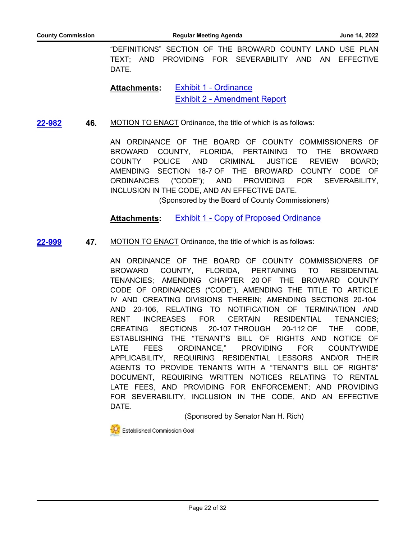"DEFINITIONS" SECTION OF THE BROWARD COUNTY LAND USE PLAN TEXT; AND PROVIDING FOR SEVERABILITY AND AN EFFECTIVE DATE.

[Exhibit 1 - Ordinance](http://broward.legistar.com/gateway.aspx?M=F&ID=2a005708-1409-4ca6-b76d-9d4cb7b030b7.pdf) [Exhibit 2 - Amendment Report](http://broward.legistar.com/gateway.aspx?M=F&ID=39c613c1-add9-4709-8109-8388e80683aa.pdf) **Attachments:**

**46.** MOTION TO ENACT Ordinance, the title of which is as follows: **[22-982](http://broward.legistar.com/gateway.aspx?m=l&id=/matter.aspx?key=10486)**

> AN ORDINANCE OF THE BOARD OF COUNTY COMMISSIONERS OF BROWARD COUNTY, FLORIDA, PERTAINING TO THE BROWARD COUNTY POLICE AND CRIMINAL JUSTICE REVIEW BOARD; AMENDING SECTION 18-7 OF THE BROWARD COUNTY CODE OF ORDINANCES ("CODE"); AND PROVIDING FOR SEVERABILITY, INCLUSION IN THE CODE, AND AN EFFECTIVE DATE.

(Sponsored by the Board of County Commissioners)

**Attachments:** [Exhibit 1 - Copy of Proposed Ordinance](http://broward.legistar.com/gateway.aspx?M=F&ID=2675b4e0-098f-46dd-8015-372e87235f05.pdf)

**47.** MOTION TO ENACT Ordinance, the title of which is as follows: **[22-999](http://broward.legistar.com/gateway.aspx?m=l&id=/matter.aspx?key=10503)**

> AN ORDINANCE OF THE BOARD OF COUNTY COMMISSIONERS OF BROWARD COUNTY, FLORIDA, PERTAINING TO RESIDENTIAL TENANCIES; AMENDING CHAPTER 20 OF THE BROWARD COUNTY CODE OF ORDINANCES ("CODE"), AMENDING THE TITLE TO ARTICLE IV AND CREATING DIVISIONS THEREIN; AMENDING SECTIONS 20-104 AND 20-106, RELATING TO NOTIFICATION OF TERMINATION AND RENT INCREASES FOR CERTAIN RESIDENTIAL TENANCIES; CREATING SECTIONS 20-107 THROUGH 20-112 OF THE CODE, ESTABLISHING THE "TENANT'S BILL OF RIGHTS AND NOTICE OF LATE FEES ORDINANCE," PROVIDING FOR COUNTYWIDE APPLICABILITY, REQUIRING RESIDENTIAL LESSORS AND/OR THEIR AGENTS TO PROVIDE TENANTS WITH A "TENANT'S BILL OF RIGHTS" DOCUMENT, REQUIRING WRITTEN NOTICES RELATING TO RENTAL LATE FEES, AND PROVIDING FOR ENFORCEMENT; AND PROVIDING FOR SEVERABILITY, INCLUSION IN THE CODE, AND AN EFFECTIVE DATE.

> > (Sponsored by Senator Nan H. Rich)

Established Commission Goal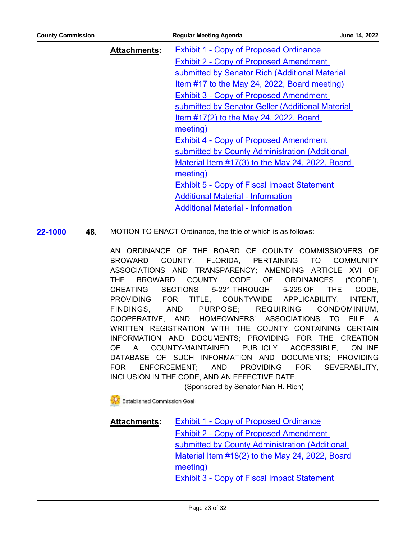| <b>County Commission</b> |                     | <b>Regular Meeting Agenda</b>                      | June 14, 2022 |
|--------------------------|---------------------|----------------------------------------------------|---------------|
|                          | <b>Attachments:</b> | <b>Exhibit 1 - Copy of Proposed Ordinance</b>      |               |
|                          |                     | <b>Exhibit 2 - Copy of Proposed Amendment</b>      |               |
|                          |                     | submitted by Senator Rich (Additional Material     |               |
|                          |                     | Item #17 to the May 24, 2022, Board meeting)       |               |
|                          |                     | <b>Exhibit 3 - Copy of Proposed Amendment</b>      |               |
|                          |                     | submitted by Senator Geller (Additional Material   |               |
|                          |                     | Item $\#17(2)$ to the May 24, 2022, Board          |               |
|                          |                     | meeting)                                           |               |
|                          |                     | <b>Exhibit 4 - Copy of Proposed Amendment</b>      |               |
|                          |                     | submitted by County Administration (Additional     |               |
|                          |                     | Material Item #17(3) to the May 24, 2022, Board    |               |
|                          |                     | meeting)                                           |               |
|                          |                     | <b>Exhibit 5 - Copy of Fiscal Impact Statement</b> |               |
|                          |                     | <b>Additional Material - Information</b>           |               |
|                          |                     | <b>Additional Material - Information</b>           |               |

**48.** MOTION TO ENACT Ordinance, the title of which is as follows: **[22-1000](http://broward.legistar.com/gateway.aspx?m=l&id=/matter.aspx?key=10504)**

> AN ORDINANCE OF THE BOARD OF COUNTY COMMISSIONERS OF BROWARD COUNTY, FLORIDA, PERTAINING TO COMMUNITY ASSOCIATIONS AND TRANSPARENCY; AMENDING ARTICLE XVI OF THE BROWARD COUNTY CODE OF ORDINANCES ("CODE"), CREATING SECTIONS 5-221 THROUGH 5-225 OF THE CODE, PROVIDING FOR TITLE, COUNTYWIDE APPLICABILITY, INTENT, FINDINGS, AND PURPOSE; REQUIRING CONDOMINIUM, COOPERATIVE, AND HOMEOWNERS' ASSOCIATIONS TO FILE A WRITTEN REGISTRATION WITH THE COUNTY CONTAINING CERTAIN INFORMATION AND DOCUMENTS; PROVIDING FOR THE CREATION OF A COUNTY-MAINTAINED PUBLICLY ACCESSIBLE, ONLINE DATABASE OF SUCH INFORMATION AND DOCUMENTS; PROVIDING FOR ENFORCEMENT; AND PROVIDING FOR SEVERABILITY, INCLUSION IN THE CODE, AND AN EFFECTIVE DATE.

(Sponsored by Senator Nan H. Rich)

Established Commission Goal

**[Exhibit 1 - Copy of Proposed Ordinance](http://broward.legistar.com/gateway.aspx?M=F&ID=1e4d55e9-7a58-4236-9385-c277aa03fee0.pdf)** Exhibit 2 - Copy of Proposed Amendment submitted by County Administration (Additional [Material Item #18\(2\) to the May 24, 2022, Board](http://broward.legistar.com/gateway.aspx?M=F&ID=fa07da4c-f409-49fd-939a-32d60cd332c3.pdf)  meeting) [Exhibit 3 - Copy of Fiscal Impact Statement](http://broward.legistar.com/gateway.aspx?M=F&ID=f2aa2718-1a23-4111-b52b-5e40c25a0535.pdf) **Attachments:**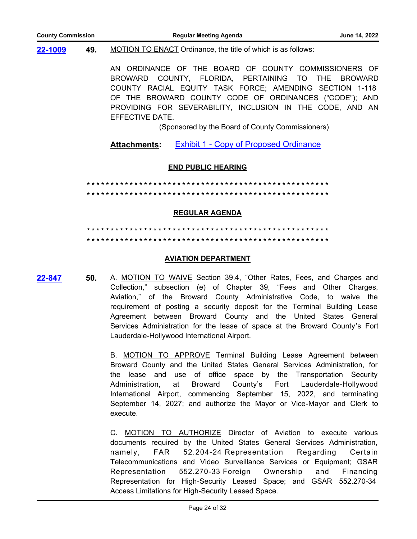#### **49.** MOTION TO ENACT Ordinance, the title of which is as follows: **[22-1009](http://broward.legistar.com/gateway.aspx?m=l&id=/matter.aspx?key=10513)**

AN ORDINANCE OF THE BOARD OF COUNTY COMMISSIONERS OF BROWARD COUNTY, FLORIDA, PERTAINING TO THE BROWARD COUNTY RACIAL EQUITY TASK FORCE; AMENDING SECTION 1-118 OF THE BROWARD COUNTY CODE OF ORDINANCES ("CODE"); AND PROVIDING FOR SEVERABILITY, INCLUSION IN THE CODE, AND AN EFFECTIVE DATE.

(Sponsored by the Board of County Commissioners)

Attachments: [Exhibit 1 - Copy of Proposed Ordinance](http://broward.legistar.com/gateway.aspx?M=F&ID=786881bf-e9ff-491e-a3e6-8ece16fbd24e.pdf)

#### **END PUBLIC HEARING**

**\* \* \* \* \* \* \* \* \* \* \* \* \* \* \* \* \* \* \* \* \* \* \* \* \* \* \* \* \* \* \* \* \* \* \* \* \* \* \* \* \* \* \* \* \* \* \* \* \* \* \* \* \* \* \* \* \* \* \* \* \* \* \* \* \* \* \* \* \* \* \* \* \* \* \* \* \* \* \* \* \* \* \* \* \* \* \* \* \* \* \* \* \* \* \* \* \* \* \* \* \* \***

#### **REGULAR AGENDA**

# **\* \* \* \* \* \* \* \* \* \* \* \* \* \* \* \* \* \* \* \* \* \* \* \* \* \* \* \* \* \* \* \* \* \* \* \* \* \* \* \* \* \* \* \* \* \* \* \* \* \* \* \* \* \* \* \* \* \* \* \* \* \* \* \* \* \* \* \* \* \* \* \* \* \* \* \* \* \* \* \* \* \* \* \* \* \* \* \* \* \* \* \* \* \* \* \* \* \* \* \* \* \***

#### **AVIATION DEPARTMENT**

**[22-847](http://broward.legistar.com/gateway.aspx?m=l&id=/matter.aspx?key=10351)**

**50.** A. MOTION TO WAIVE Section 39.4, "Other Rates, Fees, and Charges and Collection," subsection (e) of Chapter 39, "Fees and Other Charges, Aviation," of the Broward County Administrative Code, to waive the requirement of posting a security deposit for the Terminal Building Lease Agreement between Broward County and the United States General Services Administration for the lease of space at the Broward County's Fort Lauderdale-Hollywood International Airport.

B. MOTION TO APPROVE Terminal Building Lease Agreement between Broward County and the United States General Services Administration, for the lease and use of office space by the Transportation Security Administration, at Broward County's Fort Lauderdale-Hollywood International Airport, commencing September 15, 2022, and terminating September 14, 2027; and authorize the Mayor or Vice-Mayor and Clerk to execute.

C. MOTION TO AUTHORIZE Director of Aviation to execute various documents required by the United States General Services Administration, namely, FAR 52.204-24 Representation Regarding Certain Telecommunications and Video Surveillance Services or Equipment; GSAR Representation 552.270-33 Foreign Ownership and Financing Representation for High-Security Leased Space; and GSAR 552.270-34 Access Limitations for High-Security Leased Space.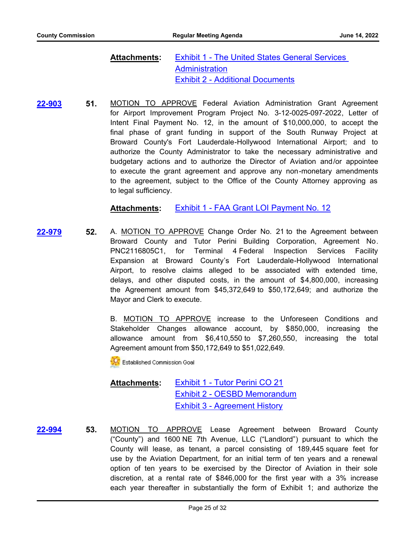#### [Exhibit 1 - The United States General Services](http://broward.legistar.com/gateway.aspx?M=F&ID=1fe65347-320a-4262-a8fb-505ecda86615.pdf)  **Administration** [Exhibit 2 - Additional Documents](http://broward.legistar.com/gateway.aspx?M=F&ID=f6e8135c-ca90-4df3-a597-9964a02d0b77.pdf) **Attachments:**

**51.** MOTION TO APPROVE Federal Aviation Administration Grant Agreement for Airport Improvement Program Project No. 3-12-0025-097-2022, Letter of Intent Final Payment No. 12, in the amount of \$10,000,000, to accept the final phase of grant funding in support of the South Runway Project at Broward County's Fort Lauderdale-Hollywood International Airport; and to authorize the County Administrator to take the necessary administrative and budgetary actions and to authorize the Director of Aviation and/or appointee to execute the grant agreement and approve any non-monetary amendments to the agreement, subject to the Office of the County Attorney approving as to legal sufficiency. **[22-903](http://broward.legistar.com/gateway.aspx?m=l&id=/matter.aspx?key=10407)**

**Attachments:** [Exhibit 1 - FAA Grant LOI Payment No. 12](http://broward.legistar.com/gateway.aspx?M=F&ID=317c5ca5-8993-4add-9080-1d01e30c42e6.pdf)

**52.** A. MOTION TO APPROVE Change Order No. 21 to the Agreement between Broward County and Tutor Perini Building Corporation, Agreement No. PNC2116805C1, for Terminal 4 Federal Inspection Services Facility Expansion at Broward County's Fort Lauderdale-Hollywood International Airport, to resolve claims alleged to be associated with extended time, delays, and other disputed costs, in the amount of \$4,800,000, increasing the Agreement amount from \$45,372,649 to \$50,172,649; and authorize the Mayor and Clerk to execute. **[22-979](http://broward.legistar.com/gateway.aspx?m=l&id=/matter.aspx?key=10483)**

> B. MOTION TO APPROVE increase to the Unforeseen Conditions and Stakeholder Changes allowance account, by \$850,000, increasing the allowance amount from \$6,410,550 to \$7,260,550, increasing the total Agreement amount from \$50,172,649 to \$51,022,649.

Established Commission Goal

#### [Exhibit 1 - Tutor Perini CO 21](http://broward.legistar.com/gateway.aspx?M=F&ID=54f755bb-9bb3-44b2-9bb4-c3b9a507b4aa.pdf) [Exhibit 2 - OESBD Memorandum](http://broward.legistar.com/gateway.aspx?M=F&ID=8db5068d-355f-4aea-bab5-ccbfca5c0090.pdf) [Exhibit 3 - Agreement History](http://broward.legistar.com/gateway.aspx?M=F&ID=e80b948b-11a0-4525-b214-b880ea466156.pdf) **Attachments:**

**53.** MOTION TO APPROVE Lease Agreement between Broward County ("County") and 1600 NE 7th Avenue, LLC ("Landlord") pursuant to which the County will lease, as tenant, a parcel consisting of 189,445 square feet for use by the Aviation Department, for an initial term of ten years and a renewal option of ten years to be exercised by the Director of Aviation in their sole discretion, at a rental rate of \$846,000 for the first year with a 3% increase each year thereafter in substantially the form of Exhibit 1; and authorize the **[22-994](http://broward.legistar.com/gateway.aspx?m=l&id=/matter.aspx?key=10498)**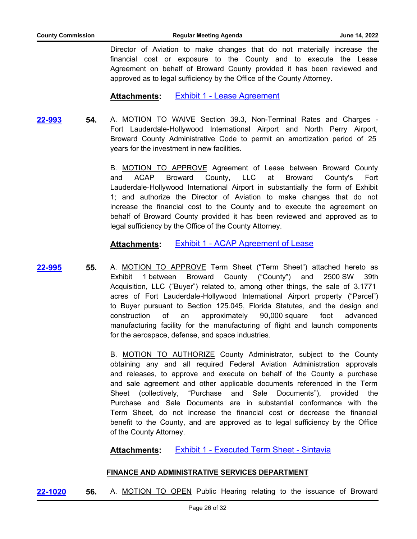Director of Aviation to make changes that do not materially increase the financial cost or exposure to the County and to execute the Lease Agreement on behalf of Broward County provided it has been reviewed and approved as to legal sufficiency by the Office of the County Attorney.

### **Attachments:** [Exhibit 1 - Lease Agreement](http://broward.legistar.com/gateway.aspx?M=F&ID=7744efab-1213-482d-a1c3-dc259f2469d8.pdf)

**54.** A. MOTION TO WAIVE Section 39.3, Non-Terminal Rates and Charges - Fort Lauderdale-Hollywood International Airport and North Perry Airport, Broward County Administrative Code to permit an amortization period of 25 years for the investment in new facilities. **[22-993](http://broward.legistar.com/gateway.aspx?m=l&id=/matter.aspx?key=10497)**

> B. MOTION TO APPROVE Agreement of Lease between Broward County and ACAP Broward County, LLC at Broward County's Fort Lauderdale-Hollywood International Airport in substantially the form of Exhibit 1; and authorize the Director of Aviation to make changes that do not increase the financial cost to the County and to execute the agreement on behalf of Broward County provided it has been reviewed and approved as to legal sufficiency by the Office of the County Attorney.

### **Attachments:** [Exhibit 1 - ACAP Agreement of Lease](http://broward.legistar.com/gateway.aspx?M=F&ID=a52f2f61-eee1-49d9-9713-22c228922918.pdf)

**55.** A. MOTION TO APPROVE Term Sheet ("Term Sheet") attached hereto as Exhibit 1 between Broward County ("County") and 2500 SW 39th Acquisition, LLC ("Buyer") related to, among other things, the sale of 3.1771 acres of Fort Lauderdale-Hollywood International Airport property ("Parcel") to Buyer pursuant to Section 125.045, Florida Statutes, and the design and construction of an approximately 90,000 square foot advanced manufacturing facility for the manufacturing of flight and launch components for the aerospace, defense, and space industries. **[22-995](http://broward.legistar.com/gateway.aspx?m=l&id=/matter.aspx?key=10499)**

> B. MOTION TO AUTHORIZE County Administrator, subject to the County obtaining any and all required Federal Aviation Administration approvals and releases, to approve and execute on behalf of the County a purchase and sale agreement and other applicable documents referenced in the Term Sheet (collectively, "Purchase and Sale Documents"), provided the Purchase and Sale Documents are in substantial conformance with the Term Sheet, do not increase the financial cost or decrease the financial benefit to the County, and are approved as to legal sufficiency by the Office of the County Attorney.

**Attachments:** [Exhibit 1 - Executed Term Sheet - Sintavia](http://broward.legistar.com/gateway.aspx?M=F&ID=542f2067-12bf-4343-8d9f-cc759e3c90c2.pdf)

#### **FINANCE AND ADMINISTRATIVE SERVICES DEPARTMENT**

**[22-1020](http://broward.legistar.com/gateway.aspx?m=l&id=/matter.aspx?key=10524) 56.** A. MOTION TO OPEN Public Hearing relating to the issuance of Broward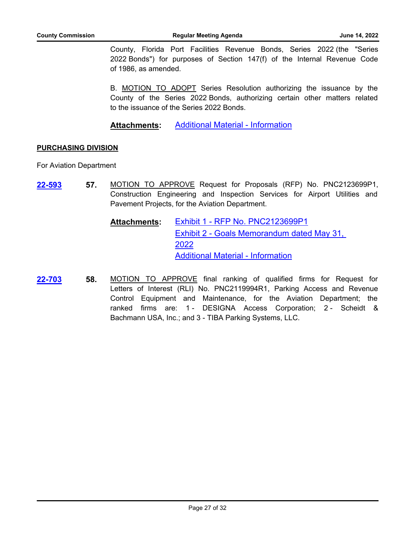County, Florida Port Facilities Revenue Bonds, Series 2022 (the "Series 2022 Bonds") for purposes of Section 147(f) of the Internal Revenue Code of 1986, as amended.

B. MOTION TO ADOPT Series Resolution authorizing the issuance by the County of the Series 2022 Bonds, authorizing certain other matters related to the issuance of the Series 2022 Bonds.

**Attachments:** [Additional Material - Information](http://broward.legistar.com/gateway.aspx?M=F&ID=be6f9af5-6740-4a2f-bc54-2667f81d33ec.pdf)

#### **PURCHASING DIVISION**

For Aviation Department

- **57.** MOTION TO APPROVE Request for Proposals (RFP) No. PNC2123699P1, Construction Engineering and Inspection Services for Airport Utilities and Pavement Projects, for the Aviation Department. **[22-593](http://broward.legistar.com/gateway.aspx?m=l&id=/matter.aspx?key=10096)**
	- [Exhibit 1 RFP No. PNC2123699P1](http://broward.legistar.com/gateway.aspx?M=F&ID=84067bc1-b2e8-4634-ad96-609d7d6ea9b0.pdf) [Exhibit 2 - Goals Memorandum dated May 31,](http://broward.legistar.com/gateway.aspx?M=F&ID=9b66421b-344e-4efe-97ec-65b1f402c63c.pdf)  2022 [Additional Material - Information](http://broward.legistar.com/gateway.aspx?M=F&ID=fa1cecf3-3573-4cb1-bd15-25d2b9341b14.pdf) **Attachments:**
- **58.** MOTION TO APPROVE final ranking of qualified firms for Request for Letters of Interest (RLI) No. PNC2119994R1, Parking Access and Revenue Control Equipment and Maintenance, for the Aviation Department; the ranked firms are: 1 - DESIGNA Access Corporation; 2 - Scheidt & Bachmann USA, Inc.; and 3 - TIBA Parking Systems, LLC. **[22-703](http://broward.legistar.com/gateway.aspx?m=l&id=/matter.aspx?key=10206)**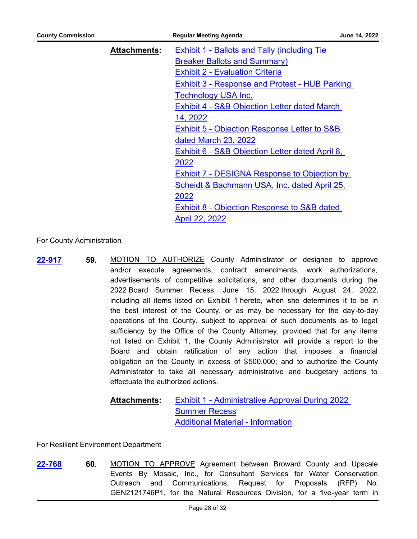| <b>County Commission</b> |                     | <b>Regular Meeting Agenda</b>                                                                                                         | June 14, 2022 |
|--------------------------|---------------------|---------------------------------------------------------------------------------------------------------------------------------------|---------------|
|                          | <b>Attachments:</b> | <b>Exhibit 1 - Ballots and Tally (including Tie)</b><br><b>Breaker Ballots and Summary)</b><br><b>Exhibit 2 - Evaluation Criteria</b> |               |
|                          |                     | <b>Exhibit 3 - Response and Protest - HUB Parking</b>                                                                                 |               |
|                          |                     | Technology USA Inc.<br>Exhibit 4 - S&B Objection Letter dated March                                                                   |               |
|                          |                     | 14, 2022<br>Exhibit 5 - Objection Response Letter to S&B                                                                              |               |
|                          |                     | dated March 23, 2022<br>Exhibit 6 - S&B Objection Letter dated April 8,                                                               |               |
|                          |                     | 2022<br>Exhibit 7 - DESIGNA Response to Objection by                                                                                  |               |
|                          |                     | Scheidt & Bachmann USA, Inc. dated April 25,<br>2022                                                                                  |               |
|                          |                     | Exhibit 8 - Objection Response to S&B dated<br><b>April 22, 2022</b>                                                                  |               |

For County Administration

**59.** MOTION TO AUTHORIZE County Administrator or designee to approve and/or execute agreements, contract amendments, work authorizations, advertisements of competitive solicitations, and other documents during the 2022 Board Summer Recess, June 15, 2022 through August 24, 2022, including all items listed on Exhibit 1 hereto, when she determines it to be in the best interest of the County, or as may be necessary for the day-to-day operations of the County, subject to approval of such documents as to legal sufficiency by the Office of the County Attorney, provided that for any items not listed on Exhibit 1, the County Administrator will provide a report to the Board and obtain ratification of any action that imposes a financial obligation on the County in excess of \$500,000; and to authorize the County Administrator to take all necessary administrative and budgetary actions to effectuate the authorized actions. **[22-917](http://broward.legistar.com/gateway.aspx?m=l&id=/matter.aspx?key=10421)**

> [Exhibit 1 - Administrative Approval During 2022](http://broward.legistar.com/gateway.aspx?M=F&ID=2e66868c-2529-437d-abca-66b92dbd509e.pdf)  **Summer Recess** [Additional Material - Information](http://broward.legistar.com/gateway.aspx?M=F&ID=ef1d73c7-bfb3-41c9-8fbe-2ca4bcdb26fc.pdf) **Attachments:**

For Resilient Environment Department

**60.** MOTION TO APPROVE Agreement between Broward County and Upscale Events By Mosaic, Inc., for Consultant Services for Water Conservation Outreach and Communications, Request for Proposals (RFP) No. GEN2121746P1, for the Natural Resources Division, for a five-year term in **[22-768](http://broward.legistar.com/gateway.aspx?m=l&id=/matter.aspx?key=10272)**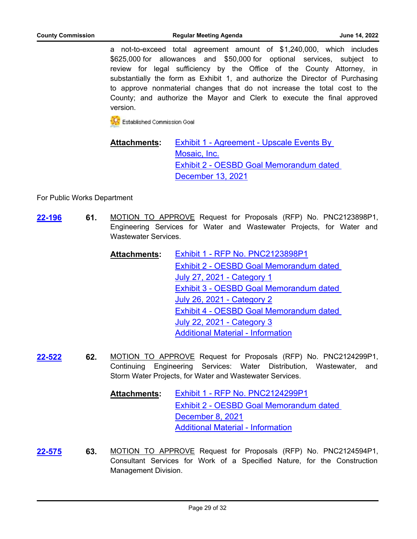a not-to-exceed total agreement amount of \$1,240,000, which includes \$625,000 for allowances and \$50,000 for optional services, subject to review for legal sufficiency by the Office of the County Attorney, in substantially the form as Exhibit 1, and authorize the Director of Purchasing to approve nonmaterial changes that do not increase the total cost to the County; and authorize the Mayor and Clerk to execute the final approved version.

**CC** Established Commission Goal

### [Exhibit 1 - Agreement - Upscale Events By](http://broward.legistar.com/gateway.aspx?M=F&ID=f5c94831-f2b0-4267-9c70-ca53c1e46c15.pdf)  Mosaic, Inc. [Exhibit 2 - OESBD Goal Memorandum dated](http://broward.legistar.com/gateway.aspx?M=F&ID=19cec667-70b1-48e0-b3b0-68bcbaf644db.pdf)  December 13, 2021 **Attachments:**

For Public Works Department

- **61.** MOTION TO APPROVE Request for Proposals (RFP) No. PNC2123898P1, Engineering Services for Water and Wastewater Projects, for Water and Wastewater Services. **[22-196](http://broward.legistar.com/gateway.aspx?m=l&id=/matter.aspx?key=9699)**
	- [Exhibit 1 RFP No. PNC2123898P1](http://broward.legistar.com/gateway.aspx?M=F&ID=c0fccdb4-c066-485c-af59-ce3e38c5e4b1.pdf) [Exhibit 2 - OESBD Goal Memorandum dated](http://broward.legistar.com/gateway.aspx?M=F&ID=5dd7b1b5-b972-47e2-8aae-3e2ba76bdc1e.pdf)  July 27, 2021 - Category 1 [Exhibit 3 - OESBD Goal Memorandum dated](http://broward.legistar.com/gateway.aspx?M=F&ID=bc039637-df49-4968-9aed-ee31e42cbd11.pdf)  July 26, 2021 - Category 2 [Exhibit 4 - OESBD Goal Memorandum dated](http://broward.legistar.com/gateway.aspx?M=F&ID=afcfdf2f-53cb-45c7-b152-542d3c051ed8.pdf)  July 22, 2021 - Category 3 [Additional Material - Information](http://broward.legistar.com/gateway.aspx?M=F&ID=33281a9a-f6d7-424b-9ce7-0191267628e3.pdf) **Attachments:**
- **62.** MOTION TO APPROVE Request for Proposals (RFP) No. PNC2124299P1, Continuing Engineering Services: Water Distribution, Wastewater, and Storm Water Projects, for Water and Wastewater Services. **[22-522](http://broward.legistar.com/gateway.aspx?m=l&id=/matter.aspx?key=10025)**
	- [Exhibit 1 RFP No. PNC2124299P1](http://broward.legistar.com/gateway.aspx?M=F&ID=f601a178-b790-4152-b33d-4996e202c017.pdf) [Exhibit 2 - OESBD Goal Memorandum dated](http://broward.legistar.com/gateway.aspx?M=F&ID=06ed94a2-552d-4f39-9ba8-643f6c3cbc0c.pdf)  December 8, 2021 [Additional Material - Information](http://broward.legistar.com/gateway.aspx?M=F&ID=98b66fd1-cc5d-4640-a90f-ddf3c1e3c4d8.pdf) **Attachments:**
- **63.** MOTION TO APPROVE Request for Proposals (RFP) No. PNC2124594P1, Consultant Services for Work of a Specified Nature, for the Construction Management Division. **[22-575](http://broward.legistar.com/gateway.aspx?m=l&id=/matter.aspx?key=10078)**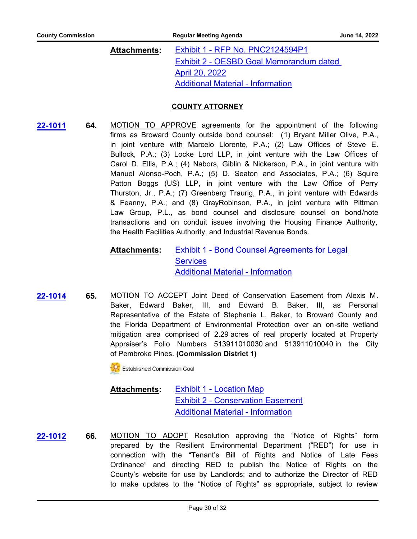#### [Exhibit 1 - RFP No. PNC2124594P1](http://broward.legistar.com/gateway.aspx?M=F&ID=b4256cac-a9af-4ba4-9f3f-96e9a40f6f67.pdf) [Exhibit 2 - OESBD Goal Memorandum dated](http://broward.legistar.com/gateway.aspx?M=F&ID=c653e0b0-71ee-46f9-90bb-21773a801066.pdf)  April 20, 2022 [Additional Material - Information](http://broward.legistar.com/gateway.aspx?M=F&ID=592cf50b-27b9-4309-a1f7-386ed367b591.pdf) **Attachments:**

#### **COUNTY ATTORNEY**

**64.** MOTION TO APPROVE agreements for the appointment of the following firms as Broward County outside bond counsel: (1) Bryant Miller Olive, P.A., in joint venture with Marcelo Llorente, P.A.; (2) Law Offices of Steve E. Bullock, P.A.; (3) Locke Lord LLP, in joint venture with the Law Offices of Carol D. Ellis, P.A.; (4) Nabors, Giblin & Nickerson, P.A., in joint venture with Manuel Alonso-Poch, P.A.; (5) D. Seaton and Associates, P.A.; (6) Squire Patton Boggs (US) LLP, in joint venture with the Law Office of Perry Thurston, Jr., P.A.; (7) Greenberg Traurig, P.A., in joint venture with Edwards & Feanny, P.A.; and (8) GrayRobinson, P.A., in joint venture with Pittman Law Group, P.L., as bond counsel and disclosure counsel on bond/note transactions and on conduit issues involving the Housing Finance Authority, the Health Facilities Authority, and Industrial Revenue Bonds. **[22-1011](http://broward.legistar.com/gateway.aspx?m=l&id=/matter.aspx?key=10515)**

#### [Exhibit 1 - Bond Counsel Agreements for Legal](http://broward.legistar.com/gateway.aspx?M=F&ID=e4fe80f6-0307-4be4-83af-4542baec29e4.pdf)  **Services** [Additional Material - Information](http://broward.legistar.com/gateway.aspx?M=F&ID=5dc2b034-01d7-4430-b884-48d42eb7f3af.pdf) **Attachments:**

**65.** MOTION TO ACCEPT Joint Deed of Conservation Easement from Alexis M. Baker, Edward Baker, III, and Edward B. Baker, III, as Personal Representative of the Estate of Stephanie L. Baker, to Broward County and the Florida Department of Environmental Protection over an on-site wetland mitigation area comprised of 2.29 acres of real property located at Property Appraiser's Folio Numbers 513911010030 and 513911010040 in the City of Pembroke Pines. **(Commission District 1) [22-1014](http://broward.legistar.com/gateway.aspx?m=l&id=/matter.aspx?key=10518)**

**K** Established Commission Goal

#### **[Exhibit 1 - Location Map](http://broward.legistar.com/gateway.aspx?M=F&ID=a649b8c3-e74f-49dd-9d2a-1310c87fd0a7.pdf)** [Exhibit 2 - Conservation Easement](http://broward.legistar.com/gateway.aspx?M=F&ID=7f4ec294-bc9d-4d8e-a841-05096577c0af.pdf) [Additional Material - Information](http://broward.legistar.com/gateway.aspx?M=F&ID=2ad6e0ab-6ac0-4a11-803e-38c3c98f4aa0.pdf) **Attachments:**

**66.** MOTION TO ADOPT Resolution approving the "Notice of Rights" form prepared by the Resilient Environmental Department ("RED") for use in connection with the "Tenant's Bill of Rights and Notice of Late Fees Ordinance" and directing RED to publish the Notice of Rights on the County's website for use by Landlords; and to authorize the Director of RED to make updates to the "Notice of Rights" as appropriate, subject to review **[22-1012](http://broward.legistar.com/gateway.aspx?m=l&id=/matter.aspx?key=10516)**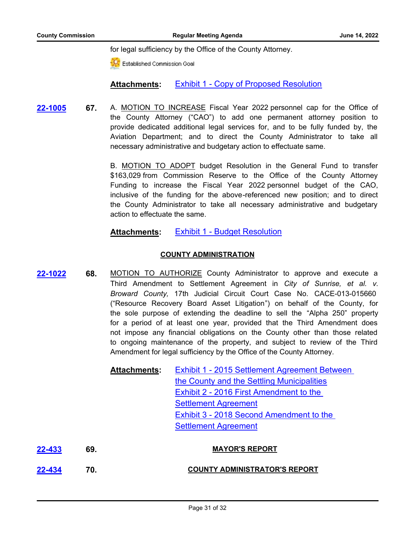for legal sufficiency by the Office of the County Attorney.

Established Commission Goal

#### **Attachments:** [Exhibit 1 - Copy of Proposed Resolution](http://broward.legistar.com/gateway.aspx?M=F&ID=07f015c2-8e9d-421e-a516-74de2069fd24.pdf)

**67.** A. MOTION TO INCREASE Fiscal Year 2022 personnel cap for the Office of the County Attorney ("CAO") to add one permanent attorney position to provide dedicated additional legal services for, and to be fully funded by, the Aviation Department; and to direct the County Administrator to take all necessary administrative and budgetary action to effectuate same. **[22-1005](http://broward.legistar.com/gateway.aspx?m=l&id=/matter.aspx?key=10509)**

> B. MOTION TO ADOPT budget Resolution in the General Fund to transfer \$163,029 from Commission Reserve to the Office of the County Attorney Funding to increase the Fiscal Year 2022 personnel budget of the CAO, inclusive of the funding for the above-referenced new position; and to direct the County Administrator to take all necessary administrative and budgetary action to effectuate the same.

#### **Attachments:** [Exhibit 1 - Budget Resolution](http://broward.legistar.com/gateway.aspx?M=F&ID=9b674f7a-04f7-4142-9895-8efda8a08c56.pdf)

#### **COUNTY ADMINISTRATION**

**68.** MOTION TO AUTHORIZE County Administrator to approve and execute a Third Amendment to Settlement Agreement in *City of Sunrise, et al. v. Broward County,* 17th Judicial Circuit Court Case No. CACE-013-015660 ("Resource Recovery Board Asset Litigation") on behalf of the County, for the sole purpose of extending the deadline to sell the "Alpha 250" property for a period of at least one year, provided that the Third Amendment does not impose any financial obligations on the County other than those related to ongoing maintenance of the property, and subject to review of the Third Amendment for legal sufficiency by the Office of the County Attorney. **[22-1022](http://broward.legistar.com/gateway.aspx?m=l&id=/matter.aspx?key=10526)**

| <b>Attachments:</b> | Exhibit 1 - 2015 Settlement Agreement Between |
|---------------------|-----------------------------------------------|
|                     | the County and the Settling Municipalities    |
|                     | Exhibit 2 - 2016 First Amendment to the       |
|                     | <b>Settlement Agreement</b>                   |
|                     | Exhibit 3 - 2018 Second Amendment to the      |
|                     | <b>Settlement Agreement</b>                   |
|                     |                                               |

| 22-433 | 69. | <b>MAYOR'S REPORT</b>                |
|--------|-----|--------------------------------------|
| 22-434 | 70. | <b>COUNTY ADMINISTRATOR'S REPORT</b> |